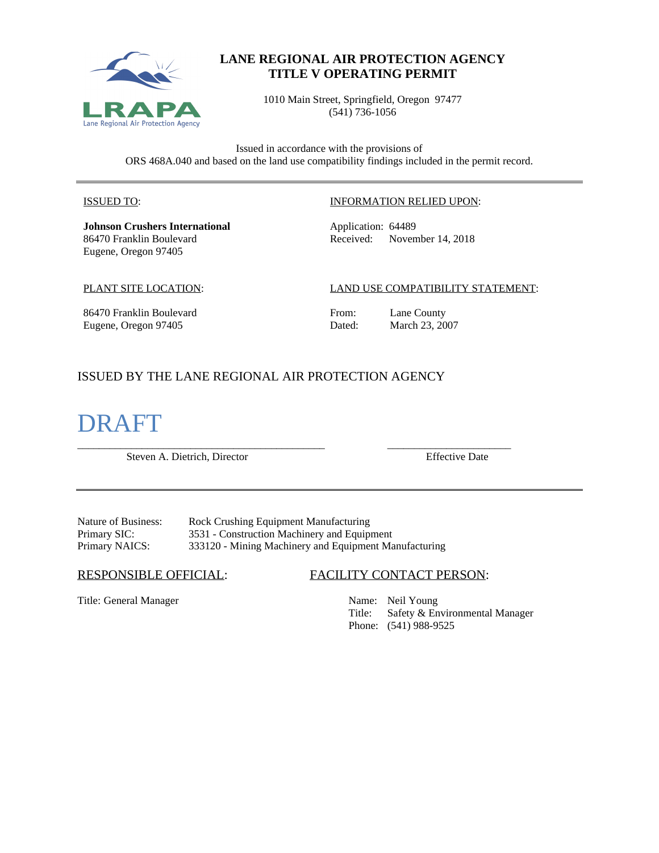

# **LANE REGIONAL AIR PROTECTION AGENCY TITLE V OPERATING PERMIT**

1010 Main Street, Springfield, Oregon 97477 (541) 736-1056

Issued in accordance with the provisions of ORS 468A.040 and based on the land use compatibility findings included in the permit record.

#### ISSUED TO:

**Johnson Crushers International** 86470 Franklin Boulevard Eugene, Oregon 97405

#### INFORMATION RELIED UPON:

Application: 64489 Received: November 14, 2018

#### PLANT SITE LOCATION:

#### LAND USE COMPATIBILITY STATEMENT:

86470 Franklin Boulevard Eugene, Oregon 97405

From: Lane County<br>Dated: March 23, 20 March 23, 2007

# ISSUED BY THE LANE REGIONAL AIR PROTECTION AGENCY

# DRAFT

\_\_\_\_\_\_\_\_\_\_\_\_\_\_\_\_\_\_\_\_\_\_\_\_\_\_\_\_\_\_\_\_\_\_\_\_\_\_\_\_\_\_\_\_\_\_ \_\_\_\_\_\_\_\_\_\_\_\_\_\_\_\_\_\_\_\_\_\_\_ Steven A. Dietrich, Director Effective Date

Nature of Business: Rock Crushing Equipment Manufacturing<br>Primary SIC: 3531 - Construction Machinery and Equip 3531 - Construction Machinery and Equipment Primary NAICS: 333120 - Mining Machinery and Equipment Manufacturing

Title: General Manager Name: Neil Young

#### RESPONSIBLE OFFICIAL: FACILITY CONTACT PERSON:

Title: Safety & Environmental Manager Phone: (541) 988-9525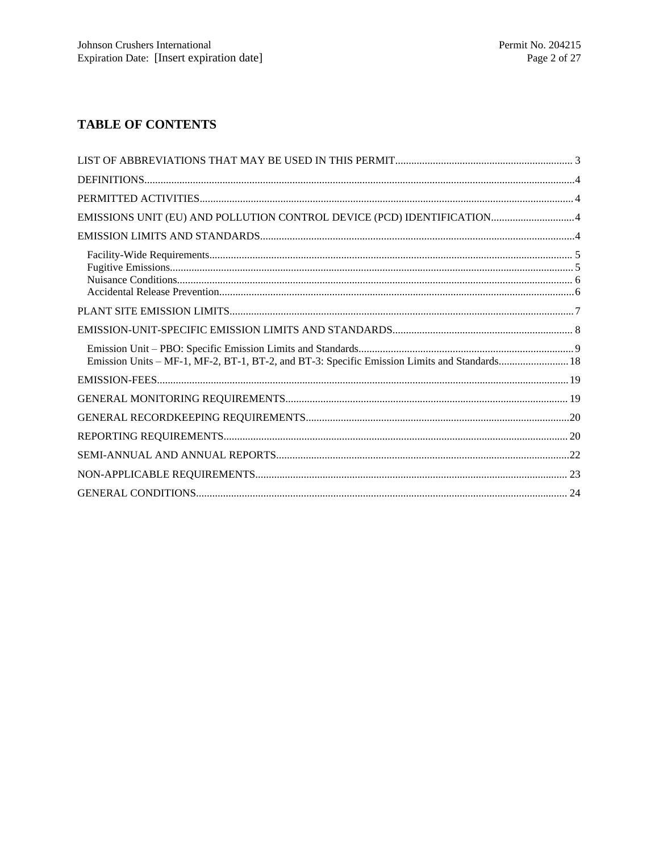# **TABLE OF CONTENTS**

| EMISSIONS UNIT (EU) AND POLLUTION CONTROL DEVICE (PCD) IDENTIFICATION 4                      |  |
|----------------------------------------------------------------------------------------------|--|
|                                                                                              |  |
|                                                                                              |  |
|                                                                                              |  |
|                                                                                              |  |
| Emission Units - MF-1, MF-2, BT-1, BT-2, and BT-3: Specific Emission Limits and Standards 18 |  |
|                                                                                              |  |
|                                                                                              |  |
|                                                                                              |  |
|                                                                                              |  |
|                                                                                              |  |
|                                                                                              |  |
|                                                                                              |  |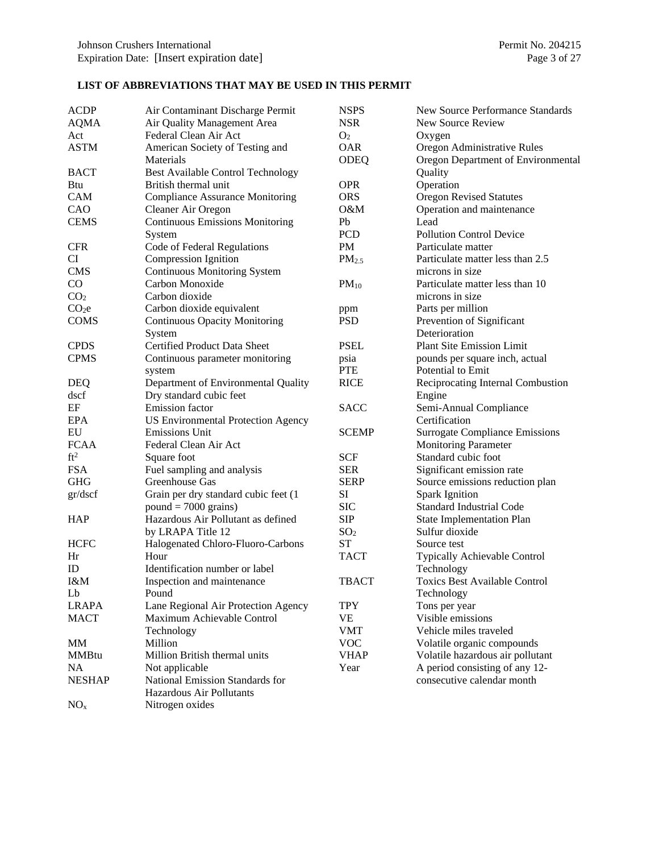## **LIST OF ABBREVIATIONS THAT MAY BE USED IN THIS PERMIT**

| <b>ACDP</b>       | Air Contaminant Discharge Permit          | <b>NSPS</b>       | New Source Performance Standards      |
|-------------------|-------------------------------------------|-------------------|---------------------------------------|
| <b>AQMA</b>       | Air Quality Management Area               | <b>NSR</b>        | New Source Review                     |
| Act               | Federal Clean Air Act                     | O <sub>2</sub>    | Oxygen                                |
| <b>ASTM</b>       | American Society of Testing and           | <b>OAR</b>        | Oregon Administrative Rules           |
|                   | Materials                                 | <b>ODEQ</b>       | Oregon Department of Environmental    |
| <b>BACT</b>       | <b>Best Available Control Technology</b>  |                   | Quality                               |
| Btu               | British thermal unit                      | <b>OPR</b>        | Operation                             |
| <b>CAM</b>        | <b>Compliance Assurance Monitoring</b>    | <b>ORS</b>        | <b>Oregon Revised Statutes</b>        |
| CAO               | Cleaner Air Oregon                        | $O\&M$            | Operation and maintenance             |
| <b>CEMS</b>       | <b>Continuous Emissions Monitoring</b>    | Pb                | Lead                                  |
|                   | System                                    | <b>PCD</b>        | <b>Pollution Control Device</b>       |
| <b>CFR</b>        | Code of Federal Regulations               | PM                | Particulate matter                    |
| CI                | Compression Ignition                      | PM <sub>2.5</sub> | Particulate matter less than 2.5      |
| <b>CMS</b>        | <b>Continuous Monitoring System</b>       |                   | microns in size                       |
| CO                | Carbon Monoxide                           | $PM_{10}$         | Particulate matter less than 10       |
| CO <sub>2</sub>   | Carbon dioxide                            |                   | microns in size                       |
| CO <sub>2</sub> e | Carbon dioxide equivalent                 | ppm               | Parts per million                     |
| <b>COMS</b>       | <b>Continuous Opacity Monitoring</b>      | <b>PSD</b>        | Prevention of Significant             |
|                   | System                                    |                   | Deterioration                         |
| <b>CPDS</b>       | Certified Product Data Sheet              | <b>PSEL</b>       | <b>Plant Site Emission Limit</b>      |
| <b>CPMS</b>       | Continuous parameter monitoring           | psia              | pounds per square inch, actual        |
|                   | system                                    | <b>PTE</b>        | Potential to Emit                     |
| <b>DEQ</b>        | Department of Environmental Quality       | <b>RICE</b>       | Reciprocating Internal Combustion     |
| dscf              | Dry standard cubic feet                   |                   | Engine                                |
| EF                | Emission factor                           | <b>SACC</b>       | Semi-Annual Compliance                |
| EPA               | <b>US Environmental Protection Agency</b> |                   | Certification                         |
| EU                | <b>Emissions Unit</b>                     | <b>SCEMP</b>      | <b>Surrogate Compliance Emissions</b> |
| <b>FCAA</b>       | Federal Clean Air Act                     |                   | <b>Monitoring Parameter</b>           |
| ft <sup>2</sup>   | Square foot                               | SCF               | Standard cubic foot                   |
| <b>FSA</b>        | Fuel sampling and analysis                | <b>SER</b>        | Significant emission rate             |
| <b>GHG</b>        | Greenhouse Gas                            | <b>SERP</b>       | Source emissions reduction plan       |
| gr/dscf           | Grain per dry standard cubic feet (1      | SI                | <b>Spark Ignition</b>                 |
|                   | $pound = 7000 \text{ grains}$             | <b>SIC</b>        | Standard Industrial Code              |
| <b>HAP</b>        | Hazardous Air Pollutant as defined        | <b>SIP</b>        | <b>State Implementation Plan</b>      |
|                   | by LRAPA Title 12                         | SO <sub>2</sub>   | Sulfur dioxide                        |
| <b>HCFC</b>       | Halogenated Chloro-Fluoro-Carbons         | <b>ST</b>         | Source test                           |
| Hr                | Hour                                      | <b>TACT</b>       | Typically Achievable Control          |
| ID                | Identification number or label            |                   | Technology                            |
| I&M               | Inspection and maintenance                | <b>TBACT</b>      | Toxics Best Available Control         |
| Lb                | Pound                                     |                   | Technology                            |
| <b>LRAPA</b>      | Lane Regional Air Protection Agency       | <b>TPY</b>        | Tons per year                         |
| <b>MACT</b>       | Maximum Achievable Control                | <b>VE</b>         | Visible emissions                     |
|                   | Technology                                | <b>VMT</b>        | Vehicle miles traveled                |
| <b>MM</b>         | Million                                   | <b>VOC</b>        | Volatile organic compounds            |
| <b>MMBtu</b>      | Million British thermal units             | <b>VHAP</b>       | Volatile hazardous air pollutant      |
| <b>NA</b>         | Not applicable                            | Year              | A period consisting of any 12-        |
| <b>NESHAP</b>     | National Emission Standards for           |                   | consecutive calendar month            |
|                   | Hazardous Air Pollutants                  |                   |                                       |
| NO <sub>x</sub>   | Nitrogen oxides                           |                   |                                       |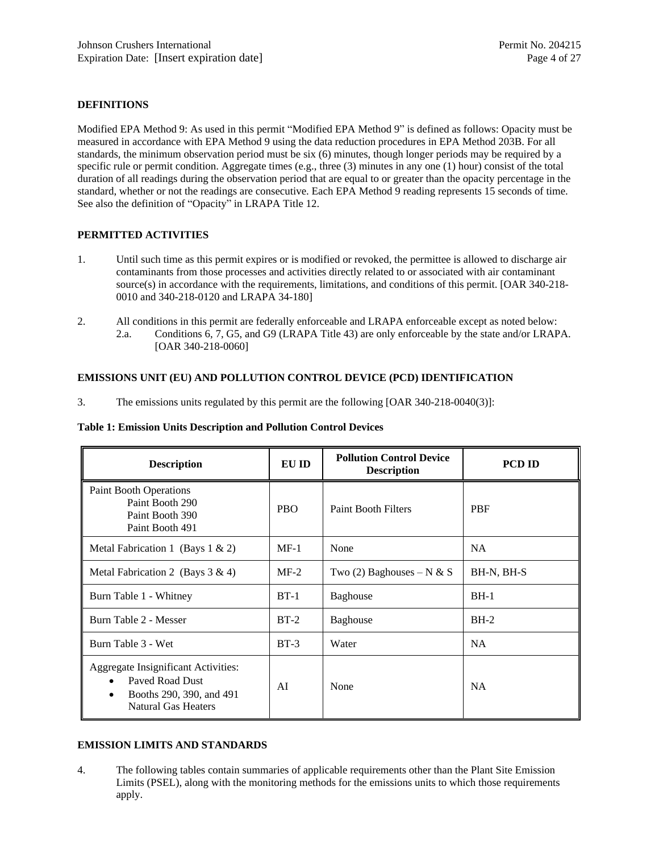#### **DEFINITIONS**

Modified EPA Method 9: As used in this permit "Modified EPA Method 9" is defined as follows: Opacity must be measured in accordance with EPA Method 9 using the data reduction procedures in EPA Method 203B. For all standards, the minimum observation period must be six (6) minutes, though longer periods may be required by a specific rule or permit condition. Aggregate times  $(e.g., three (3)$  minutes in any one  $(1)$  hour) consist of the total duration of all readings during the observation period that are equal to or greater than the opacity percentage in the standard, whether or not the readings are consecutive. Each EPA Method 9 reading represents 15 seconds of time. See also the definition of "Opacity" in LRAPA Title 12.

#### **PERMITTED ACTIVITIES**

- 1. Until such time as this permit expires or is modified or revoked, the permittee is allowed to discharge air contaminants from those processes and activities directly related to or associated with air contaminant source(s) in accordance with the requirements, limitations, and conditions of this permit. [OAR 340-218-0010 and 340-218-0120 and LRAPA 34-180]
- 2. All conditions in this permit are federally enforceable and LRAPA enforceable except as noted below: 2.a. Conditions 6, 7, G5, and G9 (LRAPA Title 43) are only enforceable by the state and/or LRAPA. [OAR 340-218-0060]

#### **EMISSIONS UNIT (EU) AND POLLUTION CONTROL DEVICE (PCD) IDENTIFICATION**

3. The emissions units regulated by this permit are the following [OAR 340-218-0040(3)]:

#### **Table 1: Emission Units Description and Pollution Control Devices**

| <b>Description</b>                                                                                                                         | EU ID      | <b>Pollution Control Device</b><br><b>Description</b> | <b>PCD ID</b> |
|--------------------------------------------------------------------------------------------------------------------------------------------|------------|-------------------------------------------------------|---------------|
| <b>Paint Booth Operations</b><br>Paint Booth 290<br>Paint Booth 390<br>Paint Booth 491                                                     | <b>PBO</b> | <b>Paint Booth Filters</b>                            | <b>PBF</b>    |
| Metal Fabrication 1 (Bays $1 \& 2$ )                                                                                                       | $MF-1$     | None                                                  | <b>NA</b>     |
| Metal Fabrication 2 (Bays $3 \& 4$ )                                                                                                       | $MF-2$     | Two (2) Baghouses – N & S                             | BH-N, BH-S    |
| Burn Table 1 - Whitney                                                                                                                     | $BT-1$     | <b>Baghouse</b>                                       | $BH-1$        |
| Burn Table 2 - Messer                                                                                                                      | $BT-2$     | <b>Baghouse</b>                                       | $BH-2$        |
| Burn Table 3 - Wet                                                                                                                         | $BT-3$     | Water                                                 | <b>NA</b>     |
| Aggregate Insignificant Activities:<br>Payed Road Dust<br>$\bullet$<br>Booths 290, 390, and 491<br>$\bullet$<br><b>Natural Gas Heaters</b> | AI         | None                                                  | <b>NA</b>     |

#### **EMISSION LIMITS AND STANDARDS**

4. The following tables contain summaries of applicable requirements other than the Plant Site Emission Limits (PSEL), along with the monitoring methods for the emissions units to which those requirements apply.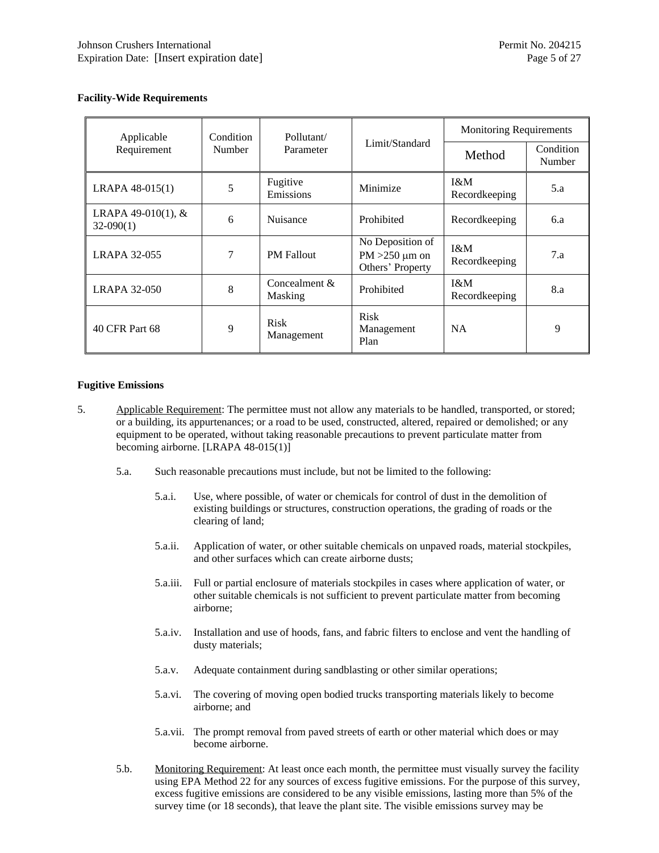#### **Facility-Wide Requirements**

| Applicable                          | Condition | Pollutant/                      |                                                             | <b>Monitoring Requirements</b> |                     |
|-------------------------------------|-----------|---------------------------------|-------------------------------------------------------------|--------------------------------|---------------------|
| Requirement<br>Number               |           | Parameter                       | Limit/Standard                                              | Method                         | Condition<br>Number |
| $LRAPA 48-015(1)$                   | 5         | Fugitive<br>Emissions           | Minimize                                                    | $1\&M$<br>Recordkeeping        | 5.a                 |
| LRAPA 49-010(1), $&$<br>$32-090(1)$ | 6         | Nuisance                        | Prohibited                                                  | Recordkeeping                  | 6.a                 |
| <b>LRAPA 32-055</b>                 | 7         | <b>PM</b> Fallout               | No Deposition of<br>$PM > 250 \mu m$ on<br>Others' Property | I&M<br>Recordkeeping           | 7.a                 |
| <b>LRAPA 32-050</b>                 | 8         | Concealment &<br><b>Masking</b> | Prohibited                                                  | $1\&M$<br>Recordkeeping        | 8.a                 |
| 40 CFR Part 68                      | 9         | <b>Risk</b><br>Management       | <b>Risk</b><br>Management<br>Plan                           | <b>NA</b>                      | 9                   |

#### **Fugitive Emissions**

- 5. Applicable Requirement: The permittee must not allow any materials to be handled, transported, or stored; or a building, its appurtenances; or a road to be used, constructed, altered, repaired or demolished; or any equipment to be operated, without taking reasonable precautions to prevent particulate matter from becoming airborne. [LRAPA 48-015(1)]
	- 5.a. Such reasonable precautions must include, but not be limited to the following:
		- 5.a.i. Use, where possible, of water or chemicals for control of dust in the demolition of existing buildings or structures, construction operations, the grading of roads or the clearing of land;
		- 5.a.ii. Application of water, or other suitable chemicals on unpaved roads, material stockpiles, and other surfaces which can create airborne dusts;
		- 5.a.iii. Full or partial enclosure of materials stockpiles in cases where application of water, or other suitable chemicals is not sufficient to prevent particulate matter from becoming airborne;
		- 5.a.iv. Installation and use of hoods, fans, and fabric filters to enclose and vent the handling of dusty materials;
		- 5.a.v. Adequate containment during sandblasting or other similar operations;
		- 5.a.vi. The covering of moving open bodied trucks transporting materials likely to become airborne; and
		- 5.a.vii. The prompt removal from paved streets of earth or other material which does or may become airborne.
	- 5.b. Monitoring Requirement: At least once each month, the permittee must visually survey the facility using EPA Method 22 for any sources of excess fugitive emissions. For the purpose of this survey, excess fugitive emissions are considered to be any visible emissions, lasting more than 5% of the survey time (or 18 seconds), that leave the plant site. The visible emissions survey may be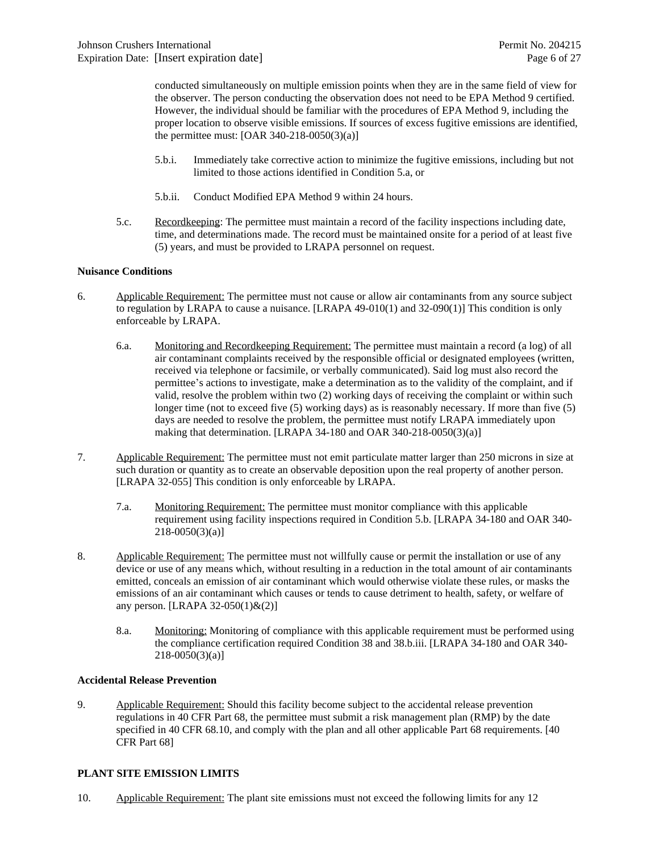conducted simultaneously on multiple emission points when they are in the same field of view for the observer. The person conducting the observation does not need to be EPA Method 9 certified. However, the individual should be familiar with the procedures of EPA Method 9, including the proper location to observe visible emissions. If sources of excess fugitive emissions are identified, the permittee must:  $[OAR 340-218-0050(3)(a)]$ 

- 5.b.i. Immediately take corrective action to minimize the fugitive emissions, including but not limited to those actions identified in Condition 5.a, or
- 5.b.ii. Conduct Modified EPA Method 9 within 24 hours.
- 5.c. Recordkeeping: The permittee must maintain a record of the facility inspections including date, time, and determinations made. The record must be maintained onsite for a period of at least five (5) years, and must be provided to LRAPA personnel on request.

#### **Nuisance Conditions**

- 6. Applicable Requirement: The permittee must not cause or allow air contaminants from any source subject to regulation by LRAPA to cause a nuisance. [LRAPA 49-010(1) and 32-090(1)] This condition is only enforceable by LRAPA.
	- 6.a. Monitoring and Recordkeeping Requirement: The permittee must maintain a record (a log) of all air contaminant complaints received by the responsible official or designated employees (written, received via telephone or facsimile, or verbally communicated). Said log must also record the permittee's actions to investigate, make a determination as to the validity of the complaint, and if valid, resolve the problem within two (2) working days of receiving the complaint or within such longer time (not to exceed five (5) working days) as is reasonably necessary. If more than five (5) days are needed to resolve the problem, the permittee must notify LRAPA immediately upon making that determination. [LRAPA 34-180 and OAR 340-218-0050(3)(a)]
- 7. Applicable Requirement: The permittee must not emit particulate matter larger than 250 microns in size at such duration or quantity as to create an observable deposition upon the real property of another person. [LRAPA 32-055] This condition is only enforceable by LRAPA.
	- 7.a. Monitoring Requirement: The permittee must monitor compliance with this applicable requirement using facility inspections required in Condition 5.b. [LRAPA 34-180 and OAR 340-  $218-0050(3)(a)$ ]
- 8. Applicable Requirement: The permittee must not willfully cause or permit the installation or use of any device or use of any means which, without resulting in a reduction in the total amount of air contaminants emitted, conceals an emission of air contaminant which would otherwise violate these rules, or masks the emissions of an air contaminant which causes or tends to cause detriment to health, safety, or welfare of any person. [LRAPA 32-050(1)&(2)]
	- 8.a. Monitoring: Monitoring of compliance with this applicable requirement must be performed using the compliance certification required Condition 38 and 38.b.iii. [LRAPA 34-180 and OAR 340-  $218-0050(3)(a)$ ]

#### **Accidental Release Prevention**

9. Applicable Requirement: Should this facility become subject to the accidental release prevention regulations in 40 CFR Part 68, the permittee must submit a risk management plan (RMP) by the date specified in 40 CFR 68.10, and comply with the plan and all other applicable Part 68 requirements. [40] CFR Part 68]

#### **PLANT SITE EMISSION LIMITS**

10. Applicable Requirement: The plant site emissions must not exceed the following limits for any 12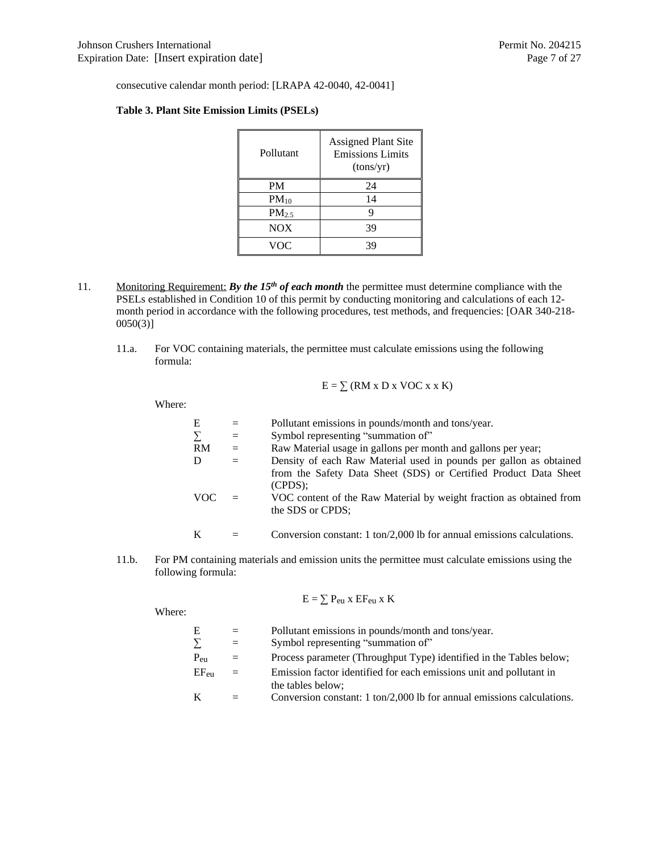consecutive calendar month period: [LRAPA 42-0040, 42-0041]

#### **Table 3. Plant Site Emission Limits (PSELs)**

| Pollutant         | <b>Assigned Plant Site</b><br><b>Emissions Limits</b><br>(tons/yr) |
|-------------------|--------------------------------------------------------------------|
| <b>PM</b>         | 24                                                                 |
| $PM_{10}$         | 14                                                                 |
| PM <sub>2.5</sub> | 9                                                                  |
| NOX               | 39                                                                 |
| VOC               | 39                                                                 |

- 11. Monitoring Requirement: *By the 15th of each month* the permittee must determine compliance with the PSELs established in Condition 10 of this permit by conducting monitoring and calculations of each 12 month period in accordance with the following procedures, test methods, and frequencies: [OAR 340-218- 0050(3)]
	- 11.a. For VOC containing materials, the permittee must calculate emissions using the following formula:

$$
E = \sum (RM \times D \times VOC \times \times K)
$$

Where:

| Е    | $=$      | Pollutant emissions in pounds/month and tons/year.                                      |
|------|----------|-----------------------------------------------------------------------------------------|
|      | $=$      | Symbol representing "summation of"                                                      |
| RM   | $=$      | Raw Material usage in gallons per month and gallons per year;                           |
|      | $\equiv$ | Density of each Raw Material used in pounds per gallon as obtained                      |
|      |          | from the Safety Data Sheet (SDS) or Certified Product Data Sheet<br>$(CPDS)$ :          |
| VOC. |          | VOC content of the Raw Material by weight fraction as obtained from<br>the SDS or CPDS; |
|      |          |                                                                                         |

$$
K = Conversion constant: 1 ton/2,000 lb for annual emissions calculations.
$$

11.b. For PM containing materials and emission units the permittee must calculate emissions using the following formula:

$$
E = \sum P_{eu} \; x \; EF_{eu} \; x \; K
$$

Where: E = Pollutant emissions in pounds/month and tons/year.<br>  $\sum$  = Symbol representing "summation of" ∑ = Symbol representing "summation of" Peu = Process parameter (Throughput Type) identified in the Tables below;  $EF_{eu}$  = Emission factor identified for each emissions unit and pollutant in the tables below;  $K =$  Conversion constant: 1 ton/2,000 lb for annual emissions calculations.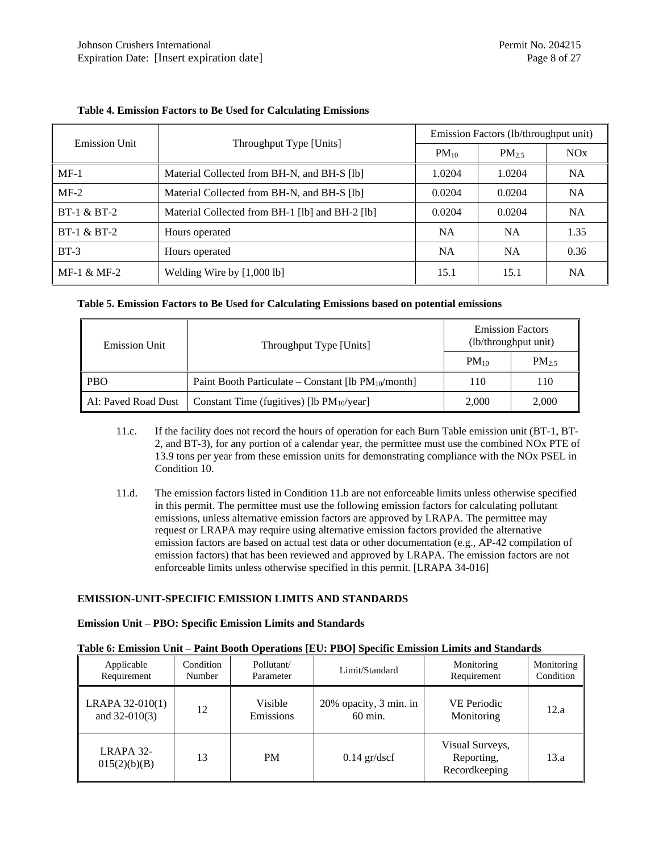| <b>Emission Unit</b>   |                                                 | Emission Factors (1b/throughput unit) |            |           |  |
|------------------------|-------------------------------------------------|---------------------------------------|------------|-----------|--|
|                        | Throughput Type [Units]                         | $PM_{10}$                             | $PM_{2.5}$ | NOx       |  |
| $MF-1$                 | Material Collected from BH-N, and BH-S [lb]     | 1.0204                                | 1.0204     | <b>NA</b> |  |
| $MF-2$                 | Material Collected from BH-N, and BH-S [lb]     | 0.0204                                | 0.0204     | <b>NA</b> |  |
| <b>BT-1 &amp; BT-2</b> | Material Collected from BH-1 [lb] and BH-2 [lb] | 0.0204                                | 0.0204     | <b>NA</b> |  |
| $BT-1 & BT-2$          | Hours operated                                  | <b>NA</b>                             | <b>NA</b>  | 1.35      |  |
| $BT-3$                 | Hours operated                                  | <b>NA</b>                             | <b>NA</b>  | 0.36      |  |
| $MF-1 & MF-2$          | Welding Wire by [1,000 lb]                      | 15.1                                  | 15.1       | <b>NA</b> |  |

### **Table 4. Emission Factors to Be Used for Calculating Emissions**

#### **Table 5. Emission Factors to Be Used for Calculating Emissions based on potential emissions**

| <b>Emission Unit</b> | Throughput Type [Units]                                  | <b>Emission Factors</b><br>(lb/throughput unit) |        |  |
|----------------------|----------------------------------------------------------|-------------------------------------------------|--------|--|
|                      |                                                          | $PM_{10}$                                       | $PM_2$ |  |
| <b>PBO</b>           | Paint Booth Particulate – Constant [1b $PM_{10}/$ month] | 110                                             | 110    |  |
| AI: Paved Road Dust  | Constant Time (fugitives) [lb $PM_{10}/year$ ]           | 2,000                                           | 2,000  |  |

- 11.c. If the facility does not record the hours of operation for each Burn Table emission unit (BT-1, BT-2, and BT-3), for any portion of a calendar year, the permittee must use the combined NOx PTE of 13.9 tons per year from these emission units for demonstrating compliance with the NOx PSEL in Condition 10.
- 11.d. The emission factors listed in Condition 11.b are not enforceable limits unless otherwise specified in this permit. The permittee must use the following emission factors for calculating pollutant emissions, unless alternative emission factors are approved by LRAPA. The permittee may request or LRAPA may require using alternative emission factors provided the alternative emission factors are based on actual test data or other documentation (e.g., AP-42 compilation of emission factors) that has been reviewed and approved by LRAPA. The emission factors are not enforceable limits unless otherwise specified in this permit. [LRAPA 34-016]

#### **EMISSION-UNIT-SPECIFIC EMISSION LIMITS AND STANDARDS**

#### **Emission Unit – PBO: Specific Emission Limits and Standards**

#### **Table 6: Emission Unit – Paint Booth Operations [EU: PBO] Specific Emission Limits and Standards**

| Applicable<br>Requirement          | Condition<br>Number | Pollutant/<br>Parameter | Limit/Standard                               | Monitoring<br>Requirement                      | Monitoring<br>Condition |
|------------------------------------|---------------------|-------------------------|----------------------------------------------|------------------------------------------------|-------------------------|
| LRAPA 32-010(1)<br>and $32-010(3)$ | 12                  | Visible<br>Emissions    | 20% opacity, 3 min. in<br>$60 \text{ min}$ . | <b>VE Periodic</b><br>Monitoring               | 12.a                    |
| LRAPA 32-<br>015(2)(b)(B)          | 13                  | <b>PM</b>               | $0.14$ gr/dscf                               | Visual Surveys,<br>Reporting,<br>Recordkeeping | 13.a                    |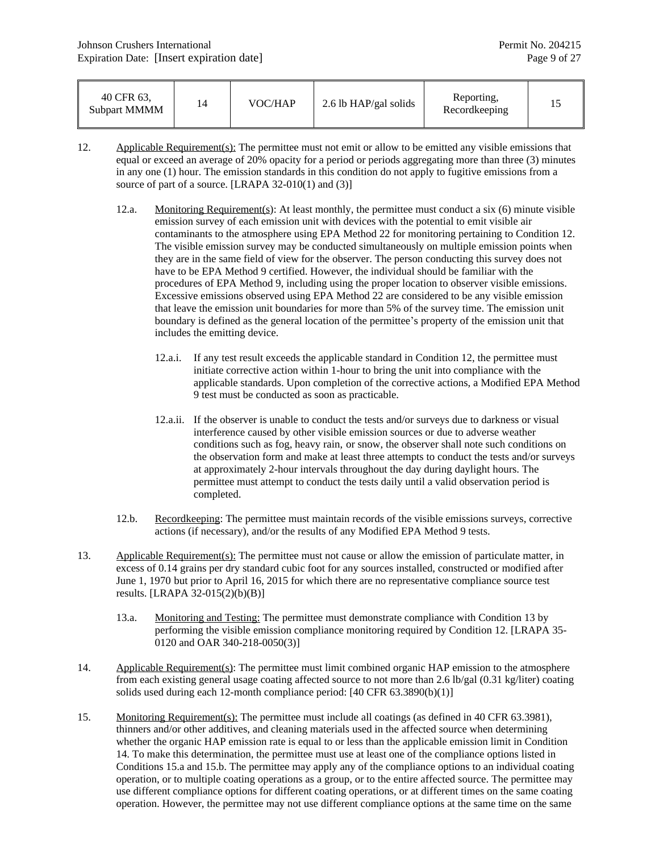| 40 CFR 63.<br>Subpart MMMM |  | VOC/HAP | 2.6 lb HAP/gal solids | Reporting,<br>Recordkeeping |  |
|----------------------------|--|---------|-----------------------|-----------------------------|--|
|----------------------------|--|---------|-----------------------|-----------------------------|--|

- 12. Applicable Requirement(s): The permittee must not emit or allow to be emitted any visible emissions that equal or exceed an average of 20% opacity for a period or periods aggregating more than three (3) minutes in any one (1) hour. The emission standards in this condition do not apply to fugitive emissions from a source of part of a source. [LRAPA 32-010(1) and (3)]
	- 12.a. Monitoring Requirement(s): At least monthly, the permittee must conduct a six  $(6)$  minute visible emission survey of each emission unit with devices with the potential to emit visible air contaminants to the atmosphere using EPA Method 22 for monitoring pertaining to Condition 12. The visible emission survey may be conducted simultaneously on multiple emission points when they are in the same field of view for the observer. The person conducting this survey does not have to be EPA Method 9 certified. However, the individual should be familiar with the procedures of EPA Method 9, including using the proper location to observer visible emissions. Excessive emissions observed using EPA Method 22 are considered to be any visible emission that leave the emission unit boundaries for more than 5% of the survey time. The emission unit boundary is defined as the general location of the permittee's property of the emission unit that includes the emitting device.
		- 12.a.i. If any test result exceeds the applicable standard in Condition 12, the permittee must initiate corrective action within 1-hour to bring the unit into compliance with the applicable standards. Upon completion of the corrective actions, a Modified EPA Method 9 test must be conducted as soon as practicable.
		- 12.a.ii. If the observer is unable to conduct the tests and/or surveys due to darkness or visual interference caused by other visible emission sources or due to adverse weather conditions such as fog, heavy rain, or snow, the observer shall note such conditions on the observation form and make at least three attempts to conduct the tests and/or surveys at approximately 2-hour intervals throughout the day during daylight hours. The permittee must attempt to conduct the tests daily until a valid observation period is completed.
	- 12.b. Recordkeeping: The permittee must maintain records of the visible emissions surveys, corrective actions (if necessary), and/or the results of any Modified EPA Method 9 tests.
- 13. Applicable Requirement(s): The permittee must not cause or allow the emission of particulate matter, in excess of 0.14 grains per dry standard cubic foot for any sources installed, constructed or modified after June 1, 1970 but prior to April 16, 2015 for which there are no representative compliance source test results. [LRAPA 32-015(2)(b)(B)]
	- 13.a. Monitoring and Testing: The permittee must demonstrate compliance with Condition 13 by performing the visible emission compliance monitoring required by Condition 12. [LRAPA 35- 0120 and OAR 340-218-0050(3)]
- 14. Applicable Requirement(s): The permittee must limit combined organic HAP emission to the atmosphere from each existing general usage coating affected source to not more than 2.6 lb/gal (0.31 kg/liter) coating solids used during each 12-month compliance period: [40 CFR 63.3890(b)(1)]
- 15. Monitoring Requirement(s): The permittee must include all coatings (as defined in 40 CFR 63.3981), thinners and/or other additives, and cleaning materials used in the affected source when determining whether the organic HAP emission rate is equal to or less than the applicable emission limit in Condition 14. To make this determination, the permittee must use at least one of the compliance options listed in Conditions 15.a and 15.b. The permittee may apply any of the compliance options to an individual coating operation, or to multiple coating operations as a group, or to the entire affected source. The permittee may use different compliance options for different coating operations, or at different times on the same coating operation. However, the permittee may not use different compliance options at the same time on the same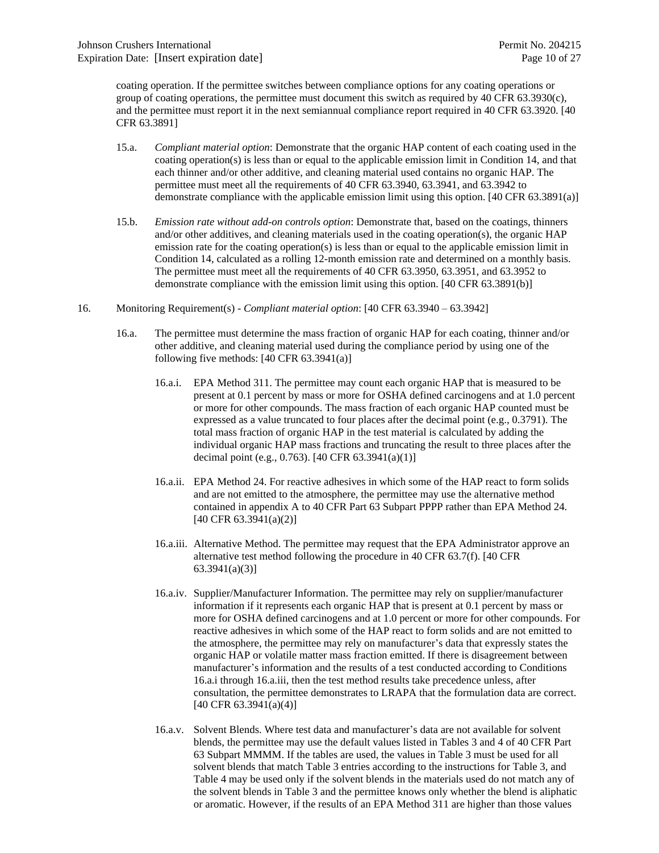coating operation. If the permittee switches between compliance options for any coating operations or group of coating operations, the permittee must document this switch as required by 40 CFR 63.3930(c), and the permittee must report it in the next semiannual compliance report required in 40 CFR 63.3920. [40 CFR 63.3891]

- 15.a. *Compliant material option*: Demonstrate that the organic HAP content of each coating used in the coating operation(s) is less than or equal to the applicable emission limit in Condition 14, and that each thinner and/or other additive, and cleaning material used contains no organic HAP. The permittee must meet all the requirements of 40 CFR 63.3940, 63.3941, and 63.3942 to demonstrate compliance with the applicable emission limit using this option. [40 CFR 63.3891(a)]
- 15.b. *Emission rate without add-on controls option*: Demonstrate that, based on the coatings, thinners and/or other additives, and cleaning materials used in the coating operation(s), the organic  $HAP$ emission rate for the coating operation(s) is less than or equal to the applicable emission limit in Condition 14, calculated as a rolling 12-month emission rate and determined on a monthly basis. The permittee must meet all the requirements of 40 CFR 63.3950, 63.3951, and 63.3952 to demonstrate compliance with the emission limit using this option. [40 CFR 63.3891(b)]
- 16. Monitoring Requirement(s) - *Compliant material option*: [40 CFR 63.3940 63.3942]
	- 16.a. The permittee must determine the mass fraction of organic HAP for each coating, thinner and/or other additive, and cleaning material used during the compliance period by using one of the following five methods: [40 CFR 63.3941(a)]
		- 16.a.i. EPA Method 311. The permittee may count each organic HAP that is measured to be present at 0.1 percent by mass or more for OSHA defined carcinogens and at 1.0 percent or more for other compounds. The mass fraction of each organic HAP counted must be expressed as a value truncated to four places after the decimal point (e.g., 0.3791). The total mass fraction of organic HAP in the test material is calculated by adding the individual organic HAP mass fractions and truncating the result to three places after the decimal point (e.g., 0.763). [40 CFR 63.3941(a)(1)]
		- 16.a.ii. EPA Method 24. For reactive adhesives in which some of the HAP react to form solids and are not emitted to the atmosphere, the permittee may use the alternative method contained in appendix A to 40 CFR Part 63 Subpart PPPP rather than EPA Method 24. [40 CFR 63.3941(a)(2)]
		- 16.a.iii. Alternative Method. The permittee may request that the EPA Administrator approve an alternative test method following the procedure in 40 CFR 63.7(f). [40 CFR 63.3941(a)(3)]
		- 16.a.iv. Supplier/Manufacturer Information. The permittee may rely on supplier/manufacturer information if it represents each organic HAP that is present at 0.1 percent by mass or more for OSHA defined carcinogens and at 1.0 percent or more for other compounds. For reactive adhesives in which some of the HAP react to form solids and are not emitted to the atmosphere, the permittee may rely on manufacturer's data that expressly states the organic HAP or volatile matter mass fraction emitted. If there is disagreement between manufacturer's information and the results of a test conducted according to Conditions 16.a.i through 16.a.iii, then the test method results take precedence unless, after consultation, the permittee demonstrates to LRAPA that the formulation data are correct. [40 CFR 63.3941(a)(4)]
		- 16.a.v. Solvent Blends. Where test data and manufacturer's data are not available for solvent blends, the permittee may use the default values listed in Tables 3 and 4 of 40 CFR Part 63 Subpart MMMM. If the tables are used, the values in Table 3 must be used for all solvent blends that match Table 3 entries according to the instructions for Table 3, and Table 4 may be used only if the solvent blends in the materials used do not match any of the solvent blends in Table 3 and the permittee knows only whether the blend is aliphatic or aromatic. However, if the results of an EPA Method 311 are higher than those values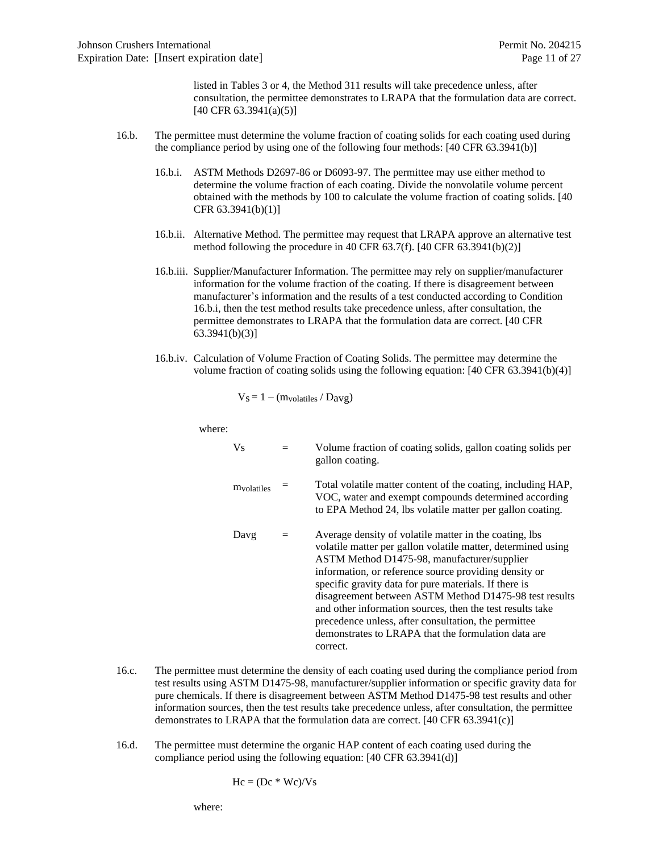listed in Tables 3 or 4, the Method 311 results will take precedence unless, after consultation, the permittee demonstrates to LRAPA that the formulation data are correct. [40 CFR 63.3941(a)(5)]

- 16.b. The permittee must determine the volume fraction of coating solids for each coating used during the compliance period by using one of the following four methods: [40 CFR 63.3941(b)]
	- 16.b.i. ASTM Methods D2697-86 or D6093-97. The permittee may use either method to determine the volume fraction of each coating. Divide the nonvolatile volume percent obtained with the methods by 100 to calculate the volume fraction of coating solids. [40 CFR 63.3941(b)(1)]
	- 16.b.ii. Alternative Method. The permittee may request that LRAPA approve an alternative test method following the procedure in 40 CFR 63.7(f). [40 CFR 63.3941(b)(2)]
	- 16.b.iii. Supplier/Manufacturer Information. The permittee may rely on supplier/manufacturer information for the volume fraction of the coating. If there is disagreement between manufacturer's information and the results of a test conducted according to Condition 16.b.i, then the test method results take precedence unless, after consultation, the permittee demonstrates to LRAPA that the formulation data are correct. [40 CFR 63.3941(b)(3)]
	- 16.b.iv. Calculation of Volume Fraction of Coating Solids. The permittee may determine the volume fraction of coating solids using the following equation: [40 CFR 63.3941(b)(4)]

$$
V_S\!=1-(m_{volatiles}\,/\,D_{avg})
$$

where:

| Vs                              |     | Volume fraction of coating solids, gallon coating solids per<br>gallon coating.                                                                                                                                                                                                                                                                                                                                                                                                                                                           |
|---------------------------------|-----|-------------------------------------------------------------------------------------------------------------------------------------------------------------------------------------------------------------------------------------------------------------------------------------------------------------------------------------------------------------------------------------------------------------------------------------------------------------------------------------------------------------------------------------------|
| <i><u><b>M</b>volatiles</u></i> |     | Total volatile matter content of the coating, including HAP,<br>VOC, water and exempt compounds determined according<br>to EPA Method 24, lbs volatile matter per gallon coating.                                                                                                                                                                                                                                                                                                                                                         |
| Davg                            | $=$ | Average density of volatile matter in the coating, lbs<br>volatile matter per gallon volatile matter, determined using<br>ASTM Method D1475-98, manufacturer/supplier<br>information, or reference source providing density or<br>specific gravity data for pure materials. If there is<br>disagreement between ASTM Method D1475-98 test results<br>and other information sources, then the test results take<br>precedence unless, after consultation, the permittee<br>demonstrates to LRAPA that the formulation data are<br>correct. |

- 16.c. The permittee must determine the density of each coating used during the compliance period from test results using ASTM D1475-98, manufacturer/supplier information or specific gravity data for pure chemicals. If there is disagreement between ASTM Method D1475-98 test results and other information sources, then the test results take precedence unless, after consultation, the permittee demonstrates to LRAPA that the formulation data are correct. [40 CFR 63.3941(c)]
- 16.d. The permittee must determine the organic HAP content of each coating used during the compliance period using the following equation: [40 CFR 63.3941(d)]

$$
Hc = (Dc * Wc)/Vs
$$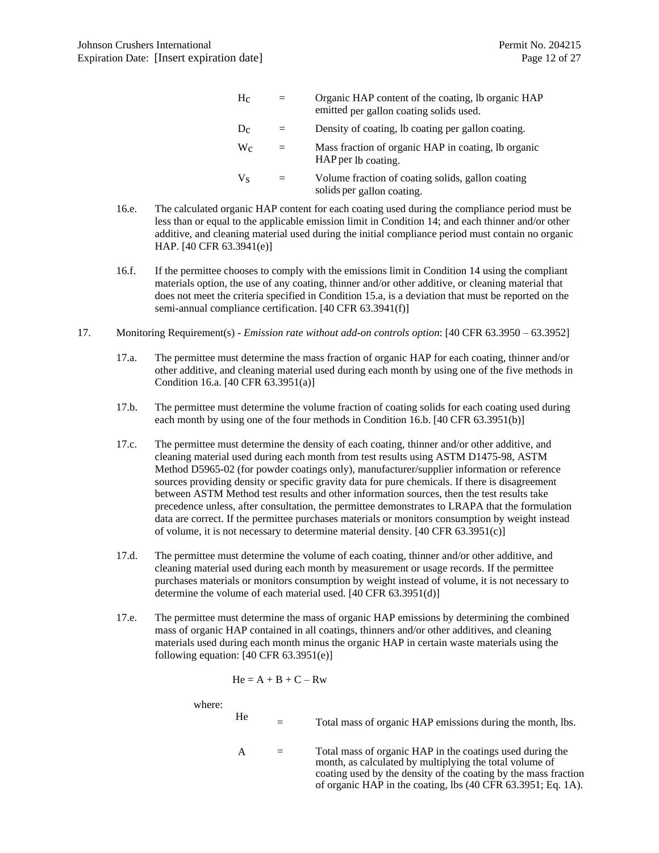| $\rm{H}_{C}$ |     | Organic HAP content of the coating, lb organic HAP<br>emitted per gallon coating solids used. |
|--------------|-----|-----------------------------------------------------------------------------------------------|
| Dc           | $=$ | Density of coating, lb coating per gallon coating.                                            |
| $\rm W_{C}$  | $=$ | Mass fraction of organic HAP in coating, lb organic<br>HAP per 1b coating.                    |
| Vç           | $=$ | Volume fraction of coating solids, gallon coating<br>solids per gallon coating.               |

- 16.e. The calculated organic HAP content for each coating used during the compliance period must be less than or equal to the applicable emission limit in Condition 14; and each thinner and/or other additive, and cleaning material used during the initial compliance period must contain no organic HAP. [40 CFR 63.3941(e)]
- 16.f. If the permittee chooses to comply with the emissions limit in Condition 14 using the compliant materials option, the use of any coating, thinner and/or other additive, or cleaning material that does not meet the criteria specified in Condition 15.a, is a deviation that must be reported on the semi-annual compliance certification. [40 CFR 63.3941(f)]
- 17. Monitoring Requirement(s) *Emission rate without add-on controls option*: [40 CFR 63.3950 63.3952]
	- 17.a. The permittee must determine the mass fraction of organic HAP for each coating, thinner and/or other additive, and cleaning material used during each month by using one of the five methods in Condition 16.a. [40 CFR 63.3951(a)]
	- 17.b. The permittee must determine the volume fraction of coating solids for each coating used during each month by using one of the four methods in Condition 16.b. [40 CFR 63.3951(b)]
	- 17.c. The permittee must determine the density of each coating, thinner and/or other additive, and cleaning material used during each month from test results using ASTM D1475-98, ASTM Method D5965-02 (for powder coatings only), manufacturer/supplier information or reference sources providing density or specific gravity data for pure chemicals. If there is disagreement between ASTM Method test results and other information sources, then the test results take precedence unless, after consultation, the permittee demonstrates to LRAPA that the formulation data are correct. If the permittee purchases materials or monitors consumption by weight instead of volume, it is not necessary to determine material density. [40 CFR 63.3951(c)]
	- 17.d. The permittee must determine the volume of each coating, thinner and/or other additive, and cleaning material used during each month by measurement or usage records. If the permittee purchases materials or monitors consumption by weight instead of volume, it is not necessary to determine the volume of each material used. [40 CFR 63.3951(d)]
	- 17.e. The permittee must determine the mass of organic HAP emissions by determining the combined mass of organic HAP contained in all coatings, thinners and/or other additives, and cleaning materials used during each month minus the organic HAP in certain waste materials using the following equation:  $[40 \text{ CFR } 63.3951(e)]$

$$
He = A + B + C - Rw
$$

where:

| He | Total mass of organic HAP emissions during the month, lbs.         |
|----|--------------------------------------------------------------------|
|    | The company of concentration in the construction of developing the |

 $A =$  Total mass of organic HAP in the coatings used during the month, as calculated by multiplying the total volume of coating used by the density of the coating by the mass fraction of organic HAP in the coating, lbs (40 CFR 63.3951; Eq. 1A).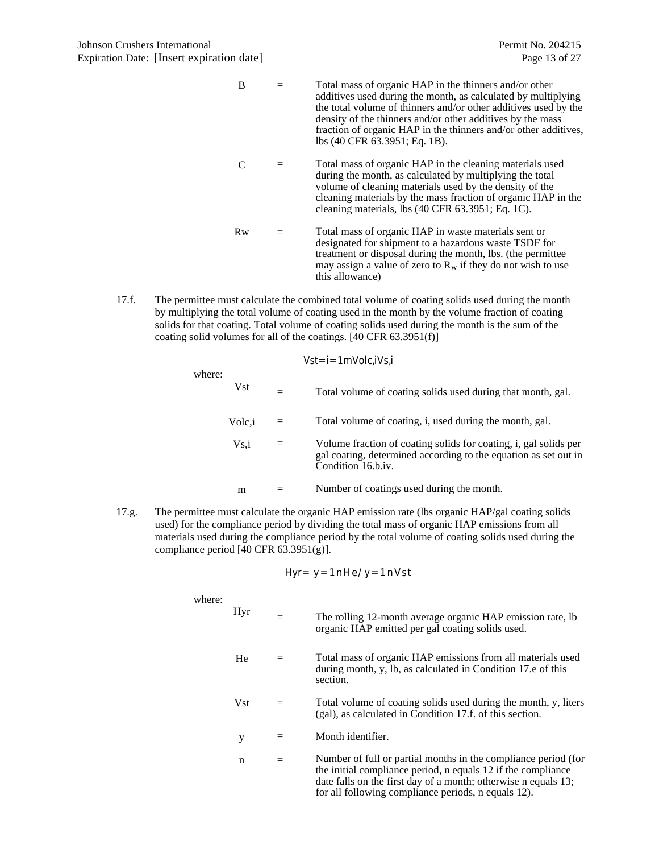| B  | Total mass of organic HAP in the thinners and/or other<br>additives used during the month, as calculated by multiplying<br>the total volume of thinners and/or other additives used by the<br>density of the thinners and/or other additives by the mass<br>fraction of organic HAP in the thinners and/or other additives,<br>lbs (40 CFR 63.3951; Eq. 1B). |
|----|--------------------------------------------------------------------------------------------------------------------------------------------------------------------------------------------------------------------------------------------------------------------------------------------------------------------------------------------------------------|
|    | Total mass of organic HAP in the cleaning materials used<br>during the month, as calculated by multiplying the total<br>volume of cleaning materials used by the density of the<br>cleaning materials by the mass fraction of organic HAP in the<br>cleaning materials, lbs (40 CFR 63.3951; Eq. 1C).                                                        |
| Rw | Total mass of organic HAP in waste materials sent or<br>designated for shipment to a hazardous waste TSDF for<br>treatment or disposal during the month, lbs. (the permittee<br>may assign a value of zero to $R_w$ if they do not wish to use<br>this allowance)                                                                                            |

17.f. The permittee must calculate the combined total volume of coating solids used during the month by multiplying the total volume of coating used in the month by the volume fraction of coating solids for that coating. Total volume of coating solids used during the month is the sum of the coating solid volumes for all of the coatings. [40 CFR 63.3951(f)]

| Water: | $Vst$                                                                                                                                                 | = Total volume of coating solids used during that month, gal. |
|--------|-------------------------------------------------------------------------------------------------------------------------------------------------------|---------------------------------------------------------------|
| Volc,i | = Total volume of coating, i, used during the month, gal.                                                                                             |                                                               |
| Vs,i   | = Volume fraction of coating solids for coating, i, gal solids per gal coating, determined according to the equation as set out in Condition 16.b.iv. |                                                               |
| m      | = Number of coating used during the month.                                                                                                            |                                                               |

17.g. The permittee must calculate the organic HAP emission rate (lbs organic HAP/gal coating solids used) for the compliance period by dividing the total mass of organic HAP emissions from all materials used during the compliance period by the total volume of coating solids used during the compliance period [40 CFR 63.3951(g)].

$$
Hyr = y = 1 n He/y = 1 n Vst
$$

where:

| Hyr        |     | The rolling 12-month average organic HAP emission rate, lb<br>organic HAP emitted per gal coating solids used.                                                                                                                                          |
|------------|-----|---------------------------------------------------------------------------------------------------------------------------------------------------------------------------------------------------------------------------------------------------------|
| He         |     | Total mass of organic HAP emissions from all materials used<br>during month, y, lb, as calculated in Condition 17.e of this<br>section.                                                                                                                 |
| <b>Vst</b> | $=$ | Total volume of coating solids used during the month, y, liters<br>(gal), as calculated in Condition 17.f. of this section.                                                                                                                             |
| у          |     | Month identifier.                                                                                                                                                                                                                                       |
| n          | $=$ | Number of full or partial months in the compliance period (for<br>the initial compliance period, n equals 12 if the compliance<br>date falls on the first day of a month; otherwise n equals 13;<br>for all following compliance periods, n equals 12). |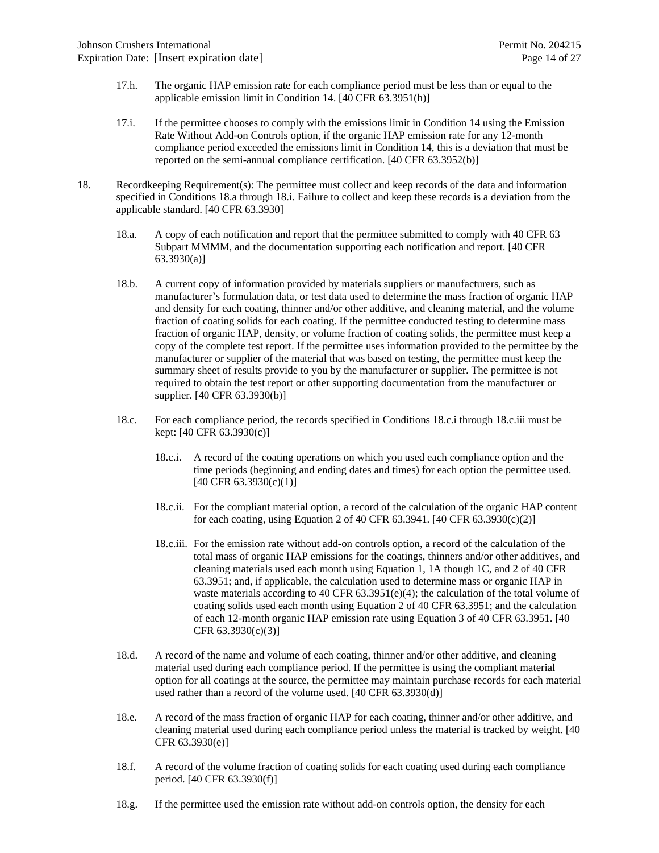- 17.h. The organic HAP emission rate for each compliance period must be less than or equal to the applicable emission limit in Condition 14. [40 CFR 63.3951(h)]
- 17.i. If the permittee chooses to comply with the emissions limit in Condition 14 using the Emission Rate Without Add-on Controls option, if the organic HAP emission rate for any 12-month compliance period exceeded the emissions limit in Condition 14, this is a deviation that must be reported on the semi-annual compliance certification. [40 CFR 63.3952(b)]
- 18. Recordkeeping Requirement(s): The permittee must collect and keep records of the data and information specified in Conditions 18.a through 18.i. Failure to collect and keep these records is a deviation from the applicable standard. [40 CFR 63.3930]
	- 18.a. A copy of each notification and report that the permittee submitted to comply with 40 CFR 63 Subpart MMMM, and the documentation supporting each notification and report. [40 CFR 63.3930(a)]
	- 18.b. A current copy of information provided by materials suppliers or manufacturers, such as manufacturer's formulation data, or test data used to determine the mass fraction of organic HAP and density for each coating, thinner and/or other additive, and cleaning material, and the volume fraction of coating solids for each coating. If the permittee conducted testing to determine mass fraction of organic HAP, density, or volume fraction of coating solids, the permittee must keep a copy of the complete test report. If the permittee uses information provided to the permittee by the manufacturer or supplier of the material that was based on testing, the permittee must keep the summary sheet of results provide to you by the manufacturer or supplier. The permittee is not required to obtain the test report or other supporting documentation from the manufacturer or supplier. [40 CFR 63.3930(b)]
	- 18.c. For each compliance period, the records specified in Conditions 18.c.i through 18.c.iii must be kept: [40 CFR 63.3930(c)]
		- 18.c.i. A record of the coating operations on which you used each compliance option and the time periods (beginning and ending dates and times) for each option the permittee used.  $[40 \text{ CFR } 63.3930(c)(1)]$
		- 18.c.ii. For the compliant material option, a record of the calculation of the organic HAP content for each coating, using Equation 2 of 40 CFR 63.3941. [40 CFR 63.3930(c)(2)]
		- 18.c.iii. For the emission rate without add-on controls option, a record of the calculation of the total mass of organic HAP emissions for the coatings, thinners and/or other additives, and cleaning materials used each month using Equation 1, 1A though 1C, and 2 of 40 CFR 63.3951; and, if applicable, the calculation used to determine mass or organic HAP in waste materials according to 40 CFR  $63.3951(e)(4)$ ; the calculation of the total volume of coating solids used each month using Equation 2 of 40 CFR 63.3951; and the calculation of each 12-month organic HAP emission rate using Equation 3 of 40 CFR 63.3951. [40 CFR 63.3930(c)(3)]
	- 18.d. A record of the name and volume of each coating, thinner and/or other additive, and cleaning material used during each compliance period. If the permittee is using the compliant material option for all coatings at the source, the permittee may maintain purchase records for each material used rather than a record of the volume used. [40 CFR 63.3930(d)]
	- 18.e. A record of the mass fraction of organic HAP for each coating, thinner and/or other additive, and cleaning material used during each compliance period unless the material is tracked by weight. [40 CFR 63.3930(e)]
	- 18.f. A record of the volume fraction of coating solids for each coating used during each compliance period. [40 CFR 63.3930(f)]
	- 18.g. If the permittee used the emission rate without add-on controls option, the density for each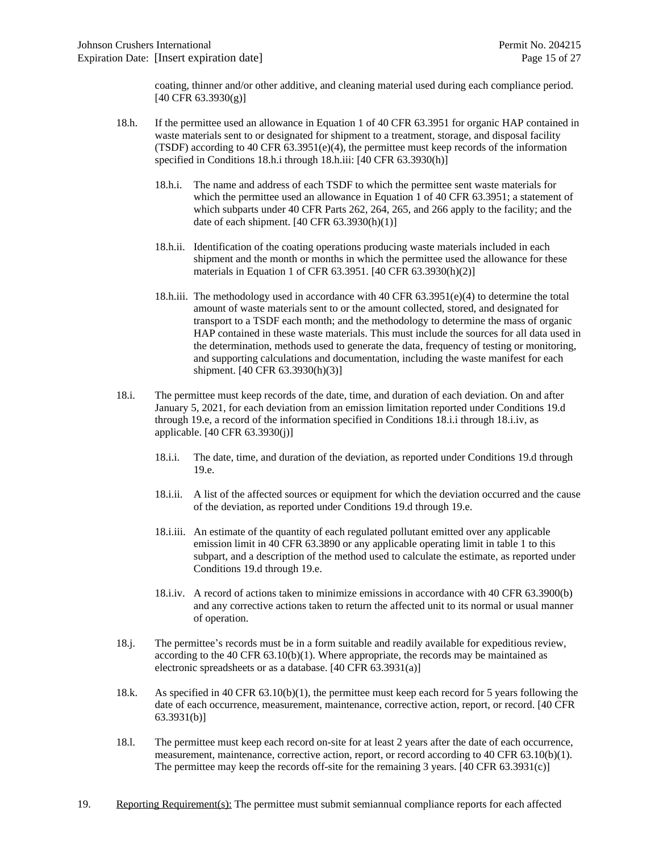coating, thinner and/or other additive, and cleaning material used during each compliance period. [40 CFR 63.3930(g)]

- 18.h. If the permittee used an allowance in Equation 1 of 40 CFR 63.3951 for organic HAP contained in waste materials sent to or designated for shipment to a treatment, storage, and disposal facility (TSDF) according to 40 CFR  $63.3951(e)(4)$ , the permittee must keep records of the information specified in Conditions 18.h.i through 18.h.iii: [40 CFR 63.3930(h)]
	- 18.h.i. The name and address of each TSDF to which the permittee sent waste materials for which the permittee used an allowance in Equation 1 of 40 CFR 63.3951; a statement of which subparts under 40 CFR Parts 262, 264, 265, and 266 apply to the facility; and the date of each shipment. [40 CFR 63.3930(h)(1)]
	- 18.h.ii. Identification of the coating operations producing waste materials included in each shipment and the month or months in which the permittee used the allowance for these materials in Equation 1 of CFR 63.3951. [40 CFR 63.3930(h)(2)]
	- 18.h.iii. The methodology used in accordance with 40 CFR  $63.3951(e)(4)$  to determine the total amount of waste materials sent to or the amount collected, stored, and designated for transport to a TSDF each month; and the methodology to determine the mass of organic HAP contained in these waste materials. This must include the sources for all data used in the determination, methods used to generate the data, frequency of testing or monitoring, and supporting calculations and documentation, including the waste manifest for each shipment. [40 CFR 63.3930(h)(3)]
- 18.i. The permittee must keep records of the date, time, and duration of each deviation. On and after January 5, 2021, for each deviation from an emission limitation reported under Conditions 19.d through 19.e, a record of the information specified in Conditions 18.i.i through 18.i.iv, as applicable. [40 CFR 63.3930(j)]
	- 18.i.i. The date, time, and duration of the deviation, as reported under Conditions 19.d through 19.e.
	- 18.i.ii. A list of the affected sources or equipment for which the deviation occurred and the cause of the deviation, as reported under Conditions 19.d through 19.e.
	- 18.i.iii. An estimate of the quantity of each regulated pollutant emitted over any applicable emission limit in 40 CFR 63.3890 or any applicable operating limit in table 1 to this subpart, and a description of the method used to calculate the estimate, as reported under Conditions 19.d through 19.e.
	- 18.i.iv. A record of actions taken to minimize emissions in accordance with 40 CFR 63.3900(b) and any corrective actions taken to return the affected unit to its normal or usual manner of operation.
- 18.j. The permittee's records must be in a form suitable and readily available for expeditious review, according to the 40 CFR  $63.10(b)(1)$ . Where appropriate, the records may be maintained as electronic spreadsheets or as a database. [40 CFR 63.3931(a)]
- 18.k. As specified in 40 CFR 63.10(b)(1), the permittee must keep each record for 5 years following the date of each occurrence, measurement, maintenance, corrective action, report, or record. [40 CFR 63.3931(b)]
- 18.l. The permittee must keep each record on-site for at least 2 years after the date of each occurrence, measurement, maintenance, corrective action, report, or record according to 40 CFR 63.10(b)(1). The permittee may keep the records off-site for the remaining 3 years. [40 CFR 63.3931(c)]
- 19. Reporting Requirement(s): The permittee must submit semiannual compliance reports for each affected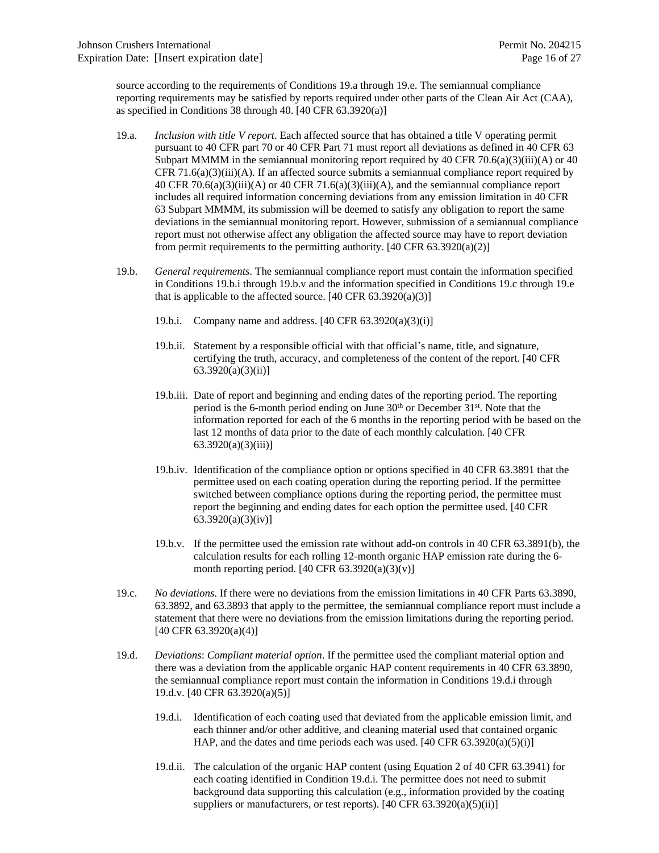source according to the requirements of Conditions 19.a through 19.e. The semiannual compliance reporting requirements may be satisfied by reports required under other parts of the Clean Air Act (CAA), as specified in Conditions 38 through 40. [40 CFR 63.3920(a)]

- 19.a. *Inclusion with title V report*. Each affected source that has obtained a title V operating permit pursuant to 40 CFR part 70 or 40 CFR Part 71 must report all deviations as defined in 40 CFR 63 Subpart MMMM in the semiannual monitoring report required by 40 CFR 70.6(a)(3)(iii)(A) or 40 CFR 71.6(a)(3)(iii)(A). If an affected source submits a semiannual compliance report required by 40 CFR 70.6(a)(3)(iii)(A) or 40 CFR 71.6(a)(3)(iii)(A), and the semiannual compliance report includes all required information concerning deviations from any emission limitation in 40 CFR 63 Subpart MMMM, its submission will be deemed to satisfy any obligation to report the same deviations in the semiannual monitoring report. However, submission of a semiannual compliance report must not otherwise affect any obligation the affected source may have to report deviation from permit requirements to the permitting authority.  $[40 \text{ CFR } 63.3920(a)(2)]$
- 19.b. *General requirements*. The semiannual compliance report must contain the information specified in Conditions 19.b.i through 19.b.v and the information specified in Conditions 19.c through 19.e that is applicable to the affected source.  $[40 \text{ CFR } 63.3920(a)(3)]$ 
	- 19.b.i. Company name and address. [40 CFR 63.3920(a)(3)(i)]
	- 19.b.ii. Statement by a responsible official with that official's name, title, and signature, certifying the truth, accuracy, and completeness of the content of the report. [40 CFR  $63.3920(a)(3)(ii)$ ]
	- 19.b.iii. Date of report and beginning and ending dates of the reporting period. The reporting period is the 6-month period ending on June 30<sup>th</sup> or December 31<sup>st</sup>. Note that the information reported for each of the 6 months in the reporting period with be based on the last 12 months of data prior to the date of each monthly calculation. [40 CFR 63.3920(a)(3)(iii)]
	- 19.b.iv. Identification of the compliance option or options specified in 40 CFR 63.3891 that the permittee used on each coating operation during the reporting period. If the permittee switched between compliance options during the reporting period, the permittee must report the beginning and ending dates for each option the permittee used. [40 CFR 63.3920(a)(3)(iv)]
	- 19.b.v. If the permittee used the emission rate without add-on controls in 40 CFR 63.3891(b), the calculation results for each rolling 12-month organic HAP emission rate during the 6 month reporting period.  $[40 \text{ CFR } 63.3920(a)(3)(v)]$
- 19.c. *No deviations*. If there were no deviations from the emission limitations in 40 CFR Parts 63.3890, 63.3892, and 63.3893 that apply to the permittee, the semiannual compliance report must include a statement that there were no deviations from the emission limitations during the reporting period. [40 CFR 63.3920(a)(4)]
- 19.d. *Deviations*: *Compliant material option*. If the permittee used the compliant material option and there was a deviation from the applicable organic HAP content requirements in 40 CFR 63.3890, the semiannual compliance report must contain the information in Conditions 19.d.i through 19.d.v. [40 CFR 63.3920(a)(5)]
	- 19.d.i. Identification of each coating used that deviated from the applicable emission limit, and each thinner and/or other additive, and cleaning material used that contained organic HAP, and the dates and time periods each was used.  $[40 \text{ CFR } 63.3920(a)(5)(i)]$
	- 19.d.ii. The calculation of the organic HAP content (using Equation 2 of 40 CFR 63.3941) for each coating identified in Condition 19.d.i. The permittee does not need to submit background data supporting this calculation (e.g., information provided by the coating suppliers or manufacturers, or test reports).  $[40 \text{ CFR } 63.3920(a)(5)(ii)]$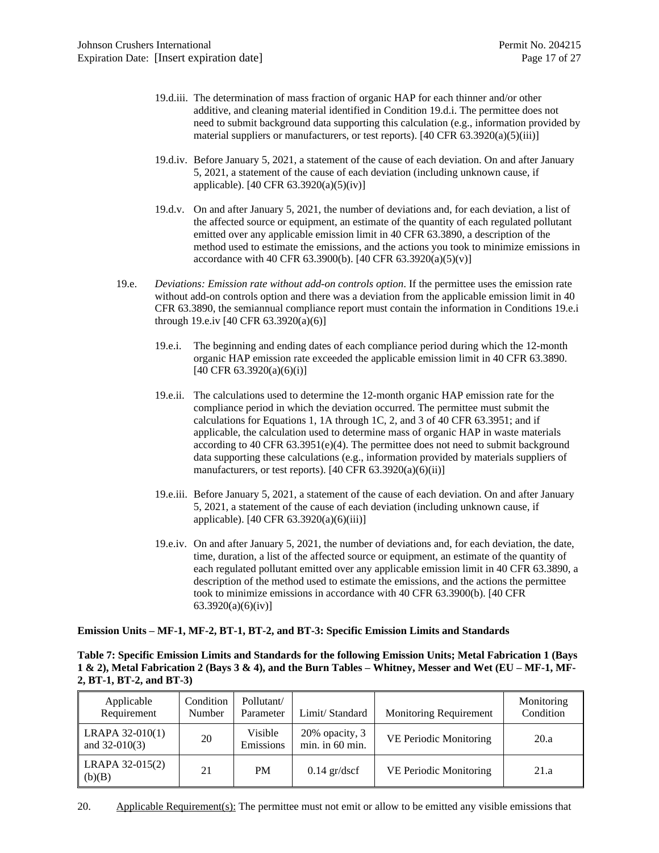- 19.d.iii. The determination of mass fraction of organic HAP for each thinner and/or other additive, and cleaning material identified in Condition 19.d.i. The permittee does not need to submit background data supporting this calculation (e.g., information provided by material suppliers or manufacturers, or test reports).  $[40 \text{ CFR } 63.3920(a)(5)(iii)]$
- 19.d.iv. Before January 5, 2021, a statement of the cause of each deviation. On and after January 5, 2021, a statement of the cause of each deviation (including unknown cause, if applicable). [40 CFR 63.3920(a)(5)(iv)]
- 19.d.v. On and after January 5, 2021, the number of deviations and, for each deviation, a list of the affected source or equipment, an estimate of the quantity of each regulated pollutant emitted over any applicable emission limit in 40 CFR 63.3890, a description of the method used to estimate the emissions, and the actions you took to minimize emissions in accordance with 40 CFR 63.3900(b). [40 CFR 63.3920(a)(5)(v)]
- 19.e. *Deviations: Emission rate without add-on controls option*. If the permittee uses the emission rate without add-on controls option and there was a deviation from the applicable emission limit in 40 CFR 63.3890, the semiannual compliance report must contain the information in Conditions 19.e.i through 19.e.iv [40 CFR 63.3920(a)(6)]
	- 19.e.i. The beginning and ending dates of each compliance period during which the 12-month organic HAP emission rate exceeded the applicable emission limit in 40 CFR 63.3890.  $[40 \text{ CFR } 63.3920(a)(6)(i)]$
	- 19.e.ii. The calculations used to determine the 12-month organic HAP emission rate for the compliance period in which the deviation occurred. The permittee must submit the calculations for Equations 1, 1A through 1C, 2, and 3 of 40 CFR 63.3951; and if applicable, the calculation used to determine mass of organic HAP in waste materials according to 40 CFR 63.3951(e)(4). The permittee does not need to submit background data supporting these calculations (e.g., information provided by materials suppliers of manufacturers, or test reports).  $[40 \text{ CFR } 63.3920(a)(6)(ii)]$
	- 19.e.iii. Before January 5, 2021, a statement of the cause of each deviation. On and after January 5, 2021, a statement of the cause of each deviation (including unknown cause, if applicable). [40 CFR 63.3920(a)(6)(iii)]
	- 19.e.iv. On and after January 5, 2021, the number of deviations and, for each deviation, the date, time, duration, a list of the affected source or equipment, an estimate of the quantity of each regulated pollutant emitted over any applicable emission limit in 40 CFR 63.3890, a description of the method used to estimate the emissions, and the actions the permittee took to minimize emissions in accordance with 40 CFR 63.3900(b). [40 CFR 63.3920(a)(6)(iv)]

**Emission Units – MF-1, MF-2, BT-1, BT-2, and BT-3: Specific Emission Limits and Standards**

**Table 7: Specific Emission Limits and Standards for the following Emission Units; Metal Fabrication 1 (Bays 1 & 2), Metal Fabrication 2 (Bays 3 & 4), and the Burn Tables – Whitney, Messer and Wet (EU – MF-1, MF-2, BT-1, BT-2, and BT-3)**

| Applicable<br>Requirement          | Condition<br>Number | Pollutant/<br>Parameter | Limit/Standard                    | <b>Monitoring Requirement</b> | Monitoring<br>Condition |
|------------------------------------|---------------------|-------------------------|-----------------------------------|-------------------------------|-------------------------|
| LRAPA 32-010(1)<br>and $32-010(3)$ | 20                  | Visible<br>Emissions    | 20% opacity, 3<br>min. in 60 min. | VE Periodic Monitoring        | 20.a                    |
| LRAPA 32-015(2)<br>(b)(B)          | 21                  | <b>PM</b>               | $0.14$ gr/dscf                    | VE Periodic Monitoring        | 21.a                    |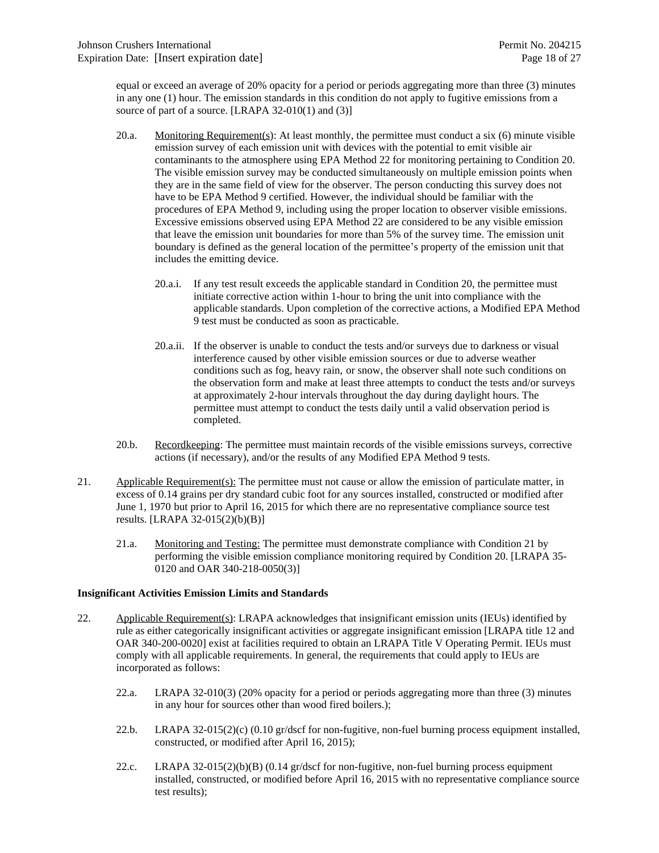equal or exceed an average of 20% opacity for a period or periods aggregating more than three (3) minutes in any one (1) hour. The emission standards in this condition do not apply to fugitive emissions from a source of part of a source. [LRAPA 32-010(1) and (3)]

- 20.a. Monitoring Requirement(s): At least monthly, the permittee must conduct a six (6) minute visible emission survey of each emission unit with devices with the potential to emit visible air contaminants to the atmosphere using EPA Method 22 for monitoring pertaining to Condition 20. The visible emission survey may be conducted simultaneously on multiple emission points when they are in the same field of view for the observer. The person conducting this survey does not have to be EPA Method 9 certified. However, the individual should be familiar with the procedures of EPA Method 9, including using the proper location to observer visible emissions. Excessive emissions observed using EPA Method 22 are considered to be any visible emission that leave the emission unit boundaries for more than 5% of the survey time. The emission unit boundary is defined as the general location of the permittee's property of the emission unit that includes the emitting device.
	- 20.a.i. If any test result exceeds the applicable standard in Condition 20, the permittee must initiate corrective action within 1-hour to bring the unit into compliance with the applicable standards. Upon completion of the corrective actions, a Modified EPA Method 9 test must be conducted as soon as practicable.
	- 20.a.ii. If the observer is unable to conduct the tests and/or surveys due to darkness or visual interference caused by other visible emission sources or due to adverse weather conditions such as fog, heavy rain, or snow, the observer shall note such conditions on the observation form and make at least three attempts to conduct the tests and/or surveys at approximately 2-hour intervals throughout the day during daylight hours. The permittee must attempt to conduct the tests daily until a valid observation period is completed.
- 20.b. Recordkeeping: The permittee must maintain records of the visible emissions surveys, corrective actions (if necessary), and/or the results of any Modified EPA Method 9 tests.
- 21. Applicable Requirement(s): The permittee must not cause or allow the emission of particulate matter, in excess of 0.14 grains per dry standard cubic foot for any sources installed, constructed or modified after June 1, 1970 but prior to April 16, 2015 for which there are no representative compliance source test results. [LRAPA 32-015(2)(b)(B)]
	- 21.a. Monitoring and Testing: The permittee must demonstrate compliance with Condition 21 by performing the visible emission compliance monitoring required by Condition 20. [LRAPA 35- 0120 and OAR 340-218-0050(3)]

#### **Insignificant Activities Emission Limits and Standards**

- 22. Applicable Requirement(s): LRAPA acknowledges that insignificant emission units (IEUs) identified by rule as either categorically insignificant activities or aggregate insignificant emission [LRAPA title 12 and OAR 340-200-0020] exist at facilities required to obtain an LRAPA Title V Operating Permit. IEUs must comply with all applicable requirements. In general, the requirements that could apply to IEUs are incorporated as follows:
	- 22.a. LRAPA 32-010(3) (20% opacity for a period or periods aggregating more than three (3) minutes in any hour for sources other than wood fired boilers.);
	- 22.b. LRAPA 32-015(2)(c) (0.10 gr/dscf for non-fugitive, non-fuel burning process equipment installed, constructed, or modified after April 16, 2015);
	- 22.c. LRAPA 32-015(2)(b)(B) (0.14 gr/dscf for non-fugitive, non-fuel burning process equipment installed, constructed, or modified before April 16, 2015 with no representative compliance source test results);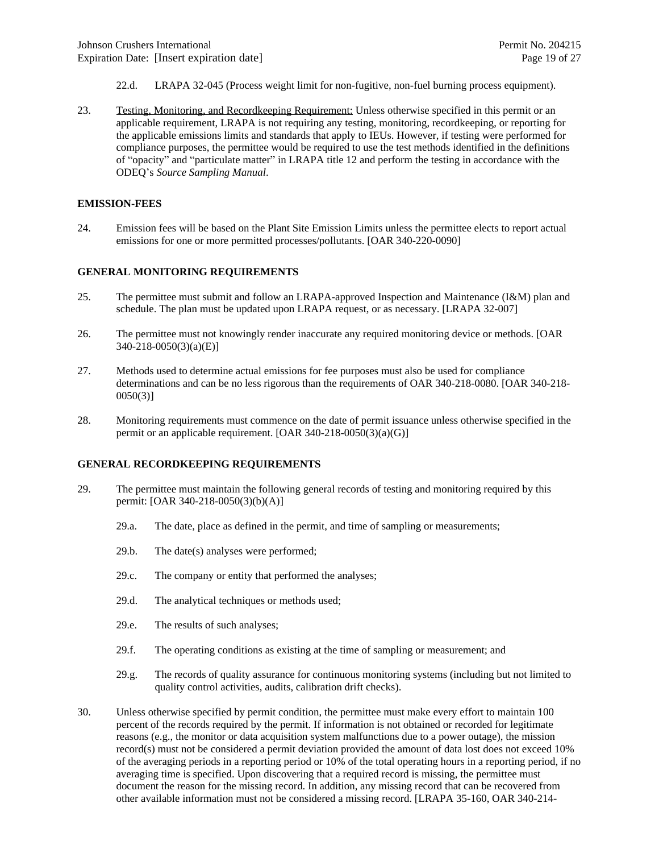- 22.d. LRAPA 32-045 (Process weight limit for non-fugitive, non-fuel burning process equipment).
- 23. Testing, Monitoring, and Recordkeeping Requirement: Unless otherwise specified in this permit or an applicable requirement, LRAPA is not requiring any testing, monitoring, recordkeeping, or reporting for the applicable emissions limits and standards that apply to IEUs. However, if testing were performed for compliance purposes, the permittee would be required to use the test methods identified in the definitions of "opacity" and "particulate matter" in LRAPA title 12 and perform the testing in accordance with the ODEQ's *Source Sampling Manual*.

#### **EMISSION-FEES**

24. Emission fees will be based on the Plant Site Emission Limits unless the permittee elects to report actual emissions for one or more permitted processes/pollutants. [OAR 340-220-0090]

#### **GENERAL MONITORING REQUIREMENTS**

- 25. The permittee must submit and follow an LRAPA-approved Inspection and Maintenance (I&M) plan and schedule. The plan must be updated upon LRAPA request, or as necessary. [LRAPA 32-007]
- 26. The permittee must not knowingly render inaccurate any required monitoring device or methods. [OAR 340-218-0050(3)(a)(E)]
- 27. Methods used to determine actual emissions for fee purposes must also be used for compliance determinations and can be no less rigorous than the requirements of OAR 340-218-0080. [OAR 340-218- 0050(3)]
- 28. Monitoring requirements must commence on the date of permit issuance unless otherwise specified in the permit or an applicable requirement. [OAR 340-218-0050(3)(a)(G)]

#### **GENERAL RECORDKEEPING REQUIREMENTS**

- 29. The permittee must maintain the following general records of testing and monitoring required by this permit: [OAR 340-218-0050(3)(b)(A)]
	- 29.a. The date, place as defined in the permit, and time of sampling or measurements;
	- 29.b. The date(s) analyses were performed;
	- 29.c. The company or entity that performed the analyses;
	- 29.d. The analytical techniques or methods used;
	- 29.e. The results of such analyses;
	- 29.f. The operating conditions as existing at the time of sampling or measurement; and
	- 29.g. The records of quality assurance for continuous monitoring systems (including but not limited to quality control activities, audits, calibration drift checks).
- 30. Unless otherwise specified by permit condition, the permittee must make every effort to maintain 100 percent of the records required by the permit. If information is not obtained or recorded for legitimate reasons (e.g., the monitor or data acquisition system malfunctions due to a power outage), the mission record(s) must not be considered a permit deviation provided the amount of data lost does not exceed 10% of the averaging periods in a reporting period or 10% of the total operating hours in a reporting period, if no averaging time is specified. Upon discovering that a required record is missing, the permittee must document the reason for the missing record. In addition, any missing record that can be recovered from other available information must not be considered a missing record. [LRAPA 35-160, OAR 340-214-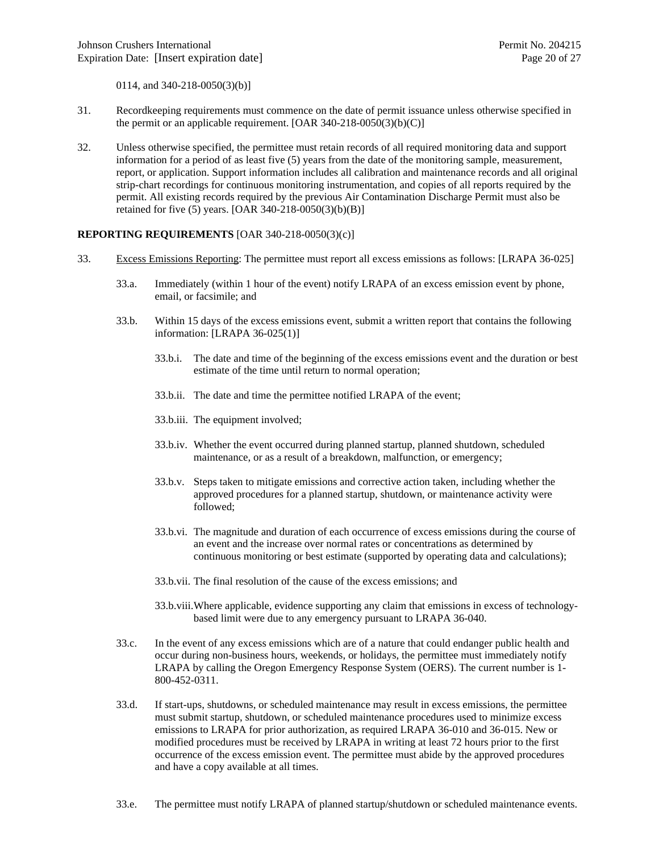0114, and 340-218-0050(3)(b)]

- 31. Recordkeeping requirements must commence on the date of permit issuance unless otherwise specified in the permit or an applicable requirement.  $[OAR 340-218-0050(3)(b)(C)]$
- 32. Unless otherwise specified, the permittee must retain records of all required monitoring data and support information for a period of as least five (5) years from the date of the monitoring sample, measurement, report, or application. Support information includes all calibration and maintenance records and all original strip-chart recordings for continuous monitoring instrumentation, and copies of all reports required by the permit. All existing records required by the previous Air Contamination Discharge Permit must also be retained for five (5) years. [OAR 340-218-0050(3)(b)(B)]

#### **REPORTING REQUIREMENTS** [OAR 340-218-0050(3)(c)]

- 33. Excess Emissions Reporting: The permittee must report all excess emissions as follows: [LRAPA 36-025]
	- 33.a. Immediately (within 1 hour of the event) notify LRAPA of an excess emission event by phone, email, or facsimile; and
	- 33.b. Within 15 days of the excess emissions event, submit a written report that contains the following information: [LRAPA 36-025(1)]
		- 33.b.i. The date and time of the beginning of the excess emissions event and the duration or best estimate of the time until return to normal operation;
		- 33.b.ii. The date and time the permittee notified LRAPA of the event;
		- 33.b.iii. The equipment involved;
		- 33.b.iv. Whether the event occurred during planned startup, planned shutdown, scheduled maintenance, or as a result of a breakdown, malfunction, or emergency;
		- 33.b.v. Steps taken to mitigate emissions and corrective action taken, including whether the approved procedures for a planned startup, shutdown, or maintenance activity were followed;
		- 33.b.vi. The magnitude and duration of each occurrence of excess emissions during the course of an event and the increase over normal rates or concentrations as determined by continuous monitoring or best estimate (supported by operating data and calculations);
		- 33.b.vii. The final resolution of the cause of the excess emissions; and
		- 33.b.viii.Where applicable, evidence supporting any claim that emissions in excess of technologybased limit were due to any emergency pursuant to LRAPA 36-040.
	- 33.c. In the event of any excess emissions which are of a nature that could endanger public health and occur during non-business hours, weekends, or holidays, the permittee must immediately notify LRAPA by calling the Oregon Emergency Response System (OERS). The current number is 1- 800-452-0311.
	- 33.d. If start-ups, shutdowns, or scheduled maintenance may result in excess emissions, the permittee must submit startup, shutdown, or scheduled maintenance procedures used to minimize excess emissions to LRAPA for prior authorization, as required LRAPA 36-010 and 36-015. New or modified procedures must be received by LRAPA in writing at least 72 hours prior to the first occurrence of the excess emission event. The permittee must abide by the approved procedures and have a copy available at all times.
	- 33.e. The permittee must notify LRAPA of planned startup/shutdown or scheduled maintenance events.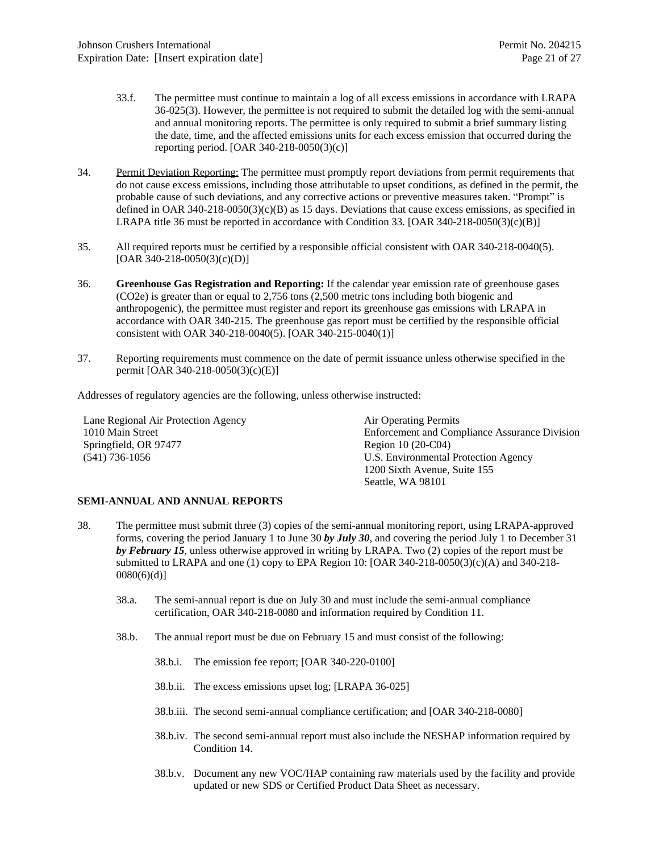- 33.f. The permittee must continue to maintain a log of all excess emissions in accordance with LRAPA 36-025(3). However, the permittee is not required to submit the detailed log with the semi-annual and annual monitoring reports. The permittee is only required to submit a brief summary listing the date, time, and the affected emissions units for each excess emission that occurred during the reporting period. [OAR 340-218-0050(3)(c)]
- 34. Permit Deviation Reporting: The permittee must promptly report deviations from permit requirements that do not cause excess emissions, including those attributable to upset conditions, as defined in the permit, the probable cause of such deviations, and any corrective actions or preventive measures taken. "Prompt" is defined in OAR  $340-218-0050(3)(c)(B)$  as 15 days. Deviations that cause excess emissions, as specified in LRAPA title 36 must be reported in accordance with Condition 33. [OAR 340-218-0050(3)(c)(B)]
- 35. All required reports must be certified by a responsible official consistent with OAR 340-218-0040(5). [OAR 340-218-0050(3)(c)(D)]
- 36. **Greenhouse Gas Registration and Reporting:** If the calendar year emission rate of greenhouse gases (CO2e) is greater than or equal to 2,756 tons (2,500 metric tons including both biogenic and anthropogenic), the permittee must register and report its greenhouse gas emissions with LRAPA in accordance with OAR 340-215. The greenhouse gas report must be certified by the responsible official consistent with OAR 340-218-0040(5). [OAR 340-215-0040(1)]
- 37. Reporting requirements must commence on the date of permit issuance unless otherwise specified in the permit [OAR 340-218-0050(3)(c)(E)]

Addresses of regulatory agencies are the following, unless otherwise instructed:

Lane Regional Air Protection Agency 1010 Main Street Springfield, OR 97477 (541) 736-1056

Air Operating Permits Enforcement and Compliance Assurance Division Region 10 (20-C04) U.S. Environmental Protection Agency 1200 Sixth Avenue, Suite 155 Seattle, WA 98101

#### **SEMI-ANNUAL AND ANNUAL REPORTS**

- 38. The permittee must submit three (3) copies of the semi-annual monitoring report, using LRAPA-approved forms, covering the period January 1 to June 30 *by July 30*, and covering the period July 1 to December 31 *by February 15*, unless otherwise approved in writing by LRAPA. Two (2) copies of the report must be submitted to LRAPA and one (1) copy to EPA Region 10: [OAR 340-218-0050(3)(c)(A) and 340-218-0080(6)(d)]
	- 38.a. The semi-annual report is due on July 30 and must include the semi-annual compliance certification, OAR 340-218-0080 and information required by Condition 11.
	- 38.b. The annual report must be due on February 15 and must consist of the following:
		- 38.b.i. The emission fee report; [OAR 340-220-0100]
		- 38.b.ii. The excess emissions upset log; [LRAPA 36-025]
		- 38.b.iii. The second semi-annual compliance certification; and [OAR 340-218-0080]
		- 38.b.iv. The second semi-annual report must also include the NESHAP information required by Condition 14.
		- 38.b.v. Document any new VOC/HAP containing raw materials used by the facility and provide updated or new SDS or Certified Product Data Sheet as necessary.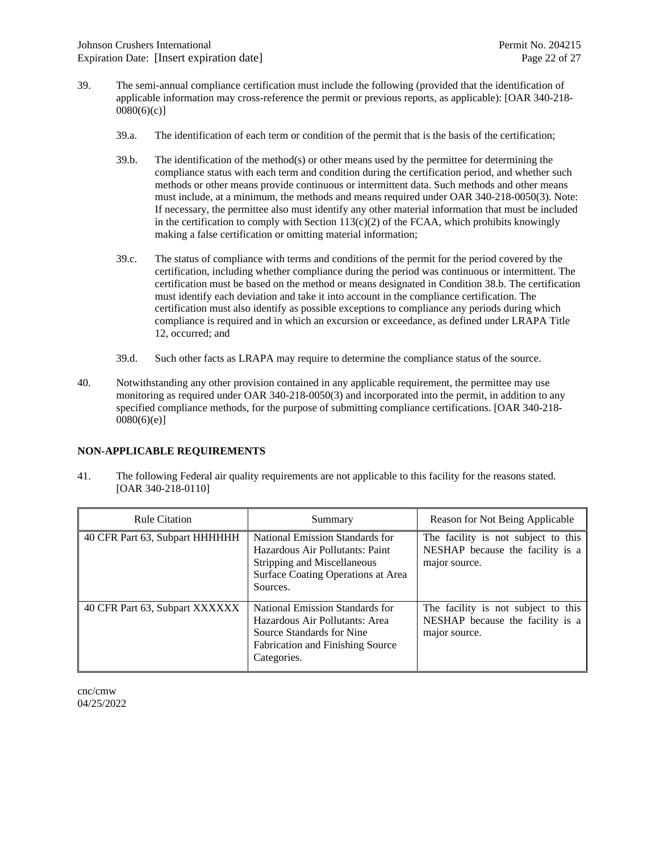- 39. The semi-annual compliance certification must include the following (provided that the identification of applicable information may cross-reference the permit or previous reports, as applicable): [OAR 340-218-  $0080(6)(c)$ ]
	- 39.a. The identification of each term or condition of the permit that is the basis of the certification;
	- 39.b. The identification of the method(s) or other means used by the permittee for determining the compliance status with each term and condition during the certification period, and whether such methods or other means provide continuous or intermittent data. Such methods and other means must include, at a minimum, the methods and means required under OAR 340-218-0050(3). Note: If necessary, the permittee also must identify any other material information that must be included in the certification to comply with Section  $113(c)(2)$  of the FCAA, which prohibits knowingly making a false certification or omitting material information;
	- 39.c. The status of compliance with terms and conditions of the permit for the period covered by the certification, including whether compliance during the period was continuous or intermittent. The certification must be based on the method or means designated in Condition 38.b. The certification must identify each deviation and take it into account in the compliance certification. The certification must also identify as possible exceptions to compliance any periods during which compliance is required and in which an excursion or exceedance, as defined under LRAPA Title 12, occurred; and
	- 39.d. Such other facts as LRAPA may require to determine the compliance status of the source.
- 40. Notwithstanding any other provision contained in any applicable requirement, the permittee may use monitoring as required under OAR 340-218-0050(3) and incorporated into the permit, in addition to any specified compliance methods, for the purpose of submitting compliance certifications. [OAR 340-218-  $0080(6)(e)$ ]

#### **NON-APPLICABLE REQUIREMENTS**

41. The following Federal air quality requirements are not applicable to this facility for the reasons stated. [OAR 340-218-0110]

| <b>Rule Citation</b>           | Summary                                                                                                                                                  | Reason for Not Being Applicable                                                          |  |
|--------------------------------|----------------------------------------------------------------------------------------------------------------------------------------------------------|------------------------------------------------------------------------------------------|--|
| 40 CFR Part 63, Subpart HHHHHH | National Emission Standards for<br>Hazardous Air Pollutants: Paint<br>Stripping and Miscellaneous<br>Surface Coating Operations at Area<br>Sources.      | The facility is not subject to this<br>NESHAP because the facility is a<br>major source. |  |
| 40 CFR Part 63, Subpart XXXXXX | National Emission Standards for<br>Hazardous Air Pollutants: Area<br>Source Standards for Nine<br><b>Fabrication and Finishing Source</b><br>Categories. | The facility is not subject to this<br>NESHAP because the facility is a<br>major source. |  |

cnc/cmw 04/25/2022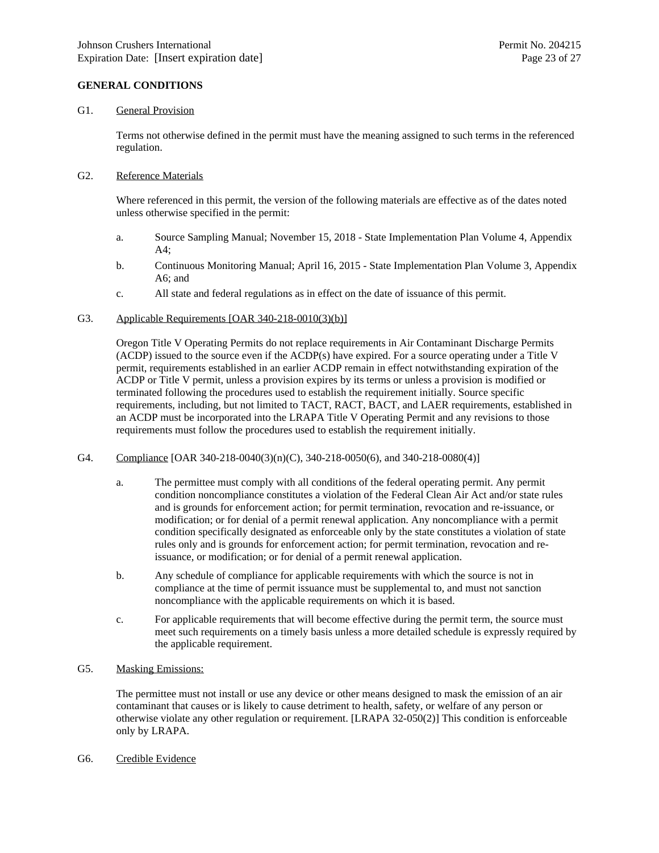#### **GENERAL CONDITIONS**

#### G1. General Provision

Terms not otherwise defined in the permit must have the meaning assigned to such terms in the referenced regulation.

#### G2. Reference Materials

Where referenced in this permit, the version of the following materials are effective as of the dates noted unless otherwise specified in the permit:

- a. Source Sampling Manual; November 15, 2018 State Implementation Plan Volume 4, Appendix A4;
- b. Continuous Monitoring Manual; April 16, 2015 State Implementation Plan Volume 3, Appendix A6; and
- c. All state and federal regulations as in effect on the date of issuance of this permit.

#### G3. Applicable Requirements [OAR 340-218-0010(3)(b)]

Oregon Title V Operating Permits do not replace requirements in Air Contaminant Discharge Permits (ACDP) issued to the source even if the ACDP(s) have expired. For a source operating under a Title V permit, requirements established in an earlier ACDP remain in effect notwithstanding expiration of the ACDP or Title V permit, unless a provision expires by its terms or unless a provision is modified or terminated following the procedures used to establish the requirement initially. Source specific requirements, including, but not limited to TACT, RACT, BACT, and LAER requirements, established in an ACDP must be incorporated into the LRAPA Title V Operating Permit and any revisions to those requirements must follow the procedures used to establish the requirement initially.

#### G4. Compliance [OAR 340-218-0040(3)(n)(C), 340-218-0050(6), and 340-218-0080(4)]

- a. The permittee must comply with all conditions of the federal operating permit. Any permit condition noncompliance constitutes a violation of the Federal Clean Air Act and/or state rules and is grounds for enforcement action; for permit termination, revocation and re-issuance, or modification; or for denial of a permit renewal application. Any noncompliance with a permit condition specifically designated as enforceable only by the state constitutes a violation of state rules only and is grounds for enforcement action; for permit termination, revocation and reissuance, or modification; or for denial of a permit renewal application.
- b. Any schedule of compliance for applicable requirements with which the source is not in compliance at the time of permit issuance must be supplemental to, and must not sanction noncompliance with the applicable requirements on which it is based.
- c. For applicable requirements that will become effective during the permit term, the source must meet such requirements on a timely basis unless a more detailed schedule is expressly required by the applicable requirement.

#### G5. Masking Emissions:

The permittee must not install or use any device or other means designed to mask the emission of an air contaminant that causes or is likely to cause detriment to health, safety, or welfare of any person or otherwise violate any other regulation or requirement. [LRAPA 32-050(2)] This condition is enforceable only by LRAPA.

G6. Credible Evidence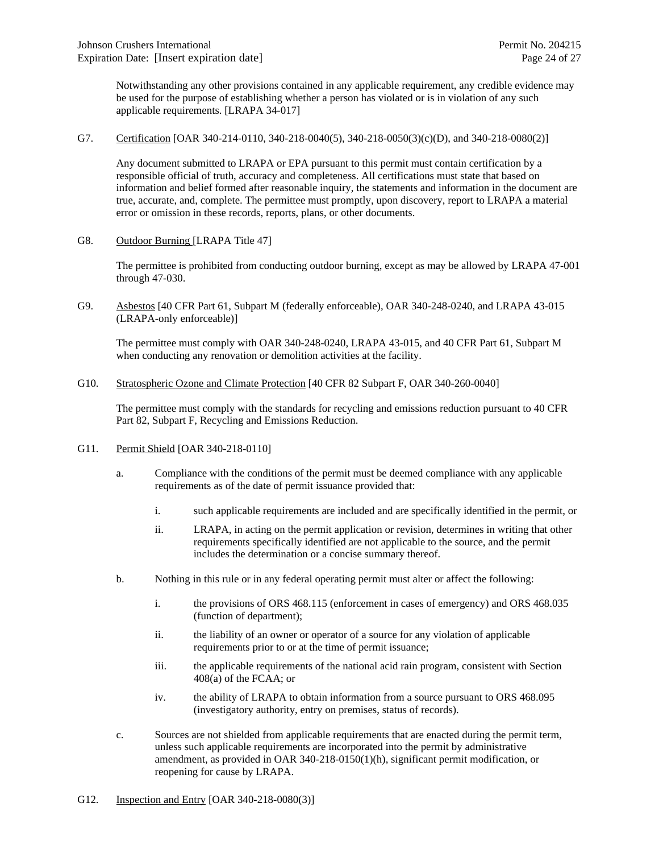Notwithstanding any other provisions contained in any applicable requirement, any credible evidence may be used for the purpose of establishing whether a person has violated or is in violation of any such applicable requirements. [LRAPA 34-017]

G7. Certification [OAR 340-214-0110, 340-218-0040(5), 340-218-0050(3)(c)(D), and 340-218-0080(2)]

Any document submitted to LRAPA or EPA pursuant to this permit must contain certification by a responsible official of truth, accuracy and completeness. All certifications must state that based on information and belief formed after reasonable inquiry, the statements and information in the document are true, accurate, and, complete. The permittee must promptly, upon discovery, report to LRAPA a material error or omission in these records, reports, plans, or other documents.

G8. Outdoor Burning [LRAPA Title 47]

The permittee is prohibited from conducting outdoor burning, except as may be allowed by LRAPA 47-001 through 47-030.

G9. Asbestos [40 CFR Part 61, Subpart M (federally enforceable), OAR 340-248-0240, and LRAPA 43-015 (LRAPA-only enforceable)]

The permittee must comply with OAR 340-248-0240, LRAPA 43-015, and 40 CFR Part 61, Subpart M when conducting any renovation or demolition activities at the facility.

G10. Stratospheric Ozone and Climate Protection [40 CFR 82 Subpart F, OAR 340-260-0040]

The permittee must comply with the standards for recycling and emissions reduction pursuant to 40 CFR Part 82, Subpart F, Recycling and Emissions Reduction.

- G11. Permit Shield [OAR 340-218-0110]
	- a. Compliance with the conditions of the permit must be deemed compliance with any applicable requirements as of the date of permit issuance provided that:
		- i. such applicable requirements are included and are specifically identified in the permit, or
		- ii. LRAPA, in acting on the permit application or revision, determines in writing that other requirements specifically identified are not applicable to the source, and the permit includes the determination or a concise summary thereof.
	- b. Nothing in this rule or in any federal operating permit must alter or affect the following:
		- i. the provisions of ORS 468.115 (enforcement in cases of emergency) and ORS 468.035 (function of department);
		- ii. the liability of an owner or operator of a source for any violation of applicable requirements prior to or at the time of permit issuance;
		- iii. the applicable requirements of the national acid rain program, consistent with Section 408(a) of the FCAA; or
		- iv. the ability of LRAPA to obtain information from a source pursuant to ORS 468.095 (investigatory authority, entry on premises, status of records).
	- c. Sources are not shielded from applicable requirements that are enacted during the permit term, unless such applicable requirements are incorporated into the permit by administrative amendment, as provided in OAR 340-218-0150(1)(h), significant permit modification, or reopening for cause by LRAPA.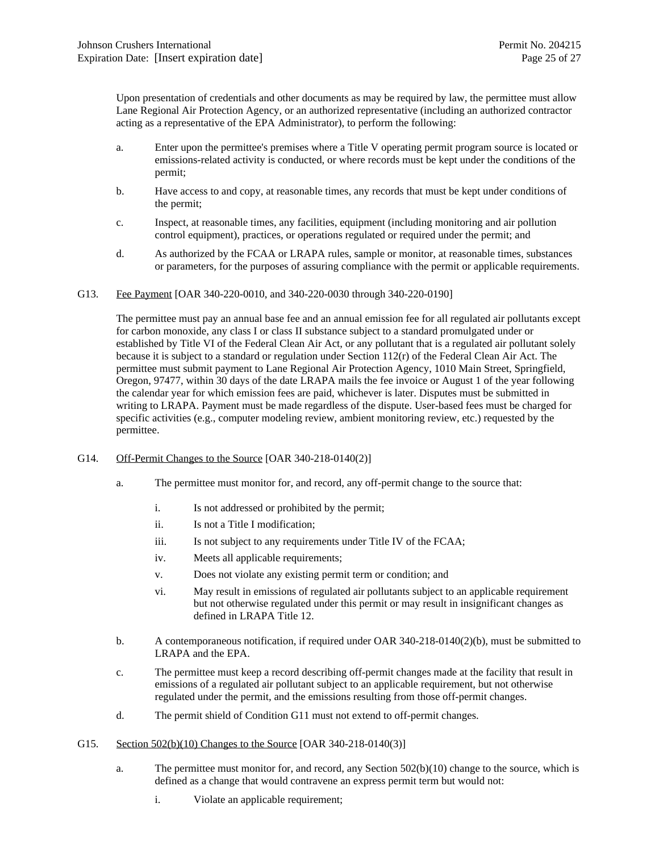Upon presentation of credentials and other documents as may be required by law, the permittee must allow Lane Regional Air Protection Agency, or an authorized representative (including an authorized contractor acting as a representative of the EPA Administrator), to perform the following:

- a. Enter upon the permittee's premises where a Title V operating permit program source is located or emissions-related activity is conducted, or where records must be kept under the conditions of the permit;
- b. Have access to and copy, at reasonable times, any records that must be kept under conditions of the permit;
- c. Inspect, at reasonable times, any facilities, equipment (including monitoring and air pollution control equipment), practices, or operations regulated or required under the permit; and
- d. As authorized by the FCAA or LRAPA rules, sample or monitor, at reasonable times, substances or parameters, for the purposes of assuring compliance with the permit or applicable requirements.
- G13. Fee Payment [OAR 340-220-0010, and 340-220-0030 through 340-220-0190]

The permittee must pay an annual base fee and an annual emission fee for all regulated air pollutants except for carbon monoxide, any class I or class II substance subject to a standard promulgated under or established by Title VI of the Federal Clean Air Act, or any pollutant that is a regulated air pollutant solely because it is subject to a standard or regulation under Section 112(r) of the Federal Clean Air Act. The permittee must submit payment to Lane Regional Air Protection Agency, 1010 Main Street, Springfield, Oregon, 97477, within 30 days of the date LRAPA mails the fee invoice or August 1 of the year following the calendar year for which emission fees are paid, whichever is later. Disputes must be submitted in writing to LRAPA. Payment must be made regardless of the dispute. User-based fees must be charged for specific activities (e.g., computer modeling review, ambient monitoring review, etc.) requested by the permittee.

- G14. Off-Permit Changes to the Source [OAR 340-218-0140(2)]
	- a. The permittee must monitor for, and record, any off-permit change to the source that:
		- i. Is not addressed or prohibited by the permit;
		- ii. Is not a Title I modification;
		- iii. Is not subject to any requirements under Title IV of the FCAA;
		- iv. Meets all applicable requirements;
		- v. Does not violate any existing permit term or condition; and
		- vi. May result in emissions of regulated air pollutants subject to an applicable requirement but not otherwise regulated under this permit or may result in insignificant changes as defined in LRAPA Title 12.
	- b. A contemporaneous notification, if required under OAR 340-218-0140(2)(b), must be submitted to LRAPA and the EPA.
	- c. The permittee must keep a record describing off-permit changes made at the facility that result in emissions of a regulated air pollutant subject to an applicable requirement, but not otherwise regulated under the permit, and the emissions resulting from those off-permit changes.
	- d. The permit shield of Condition G11 must not extend to off-permit changes.
- G15. Section 502(b)(10) Changes to the Source [OAR 340-218-0140(3)]
	- a. The permittee must monitor for, and record, any Section 502(b)(10) change to the source, which is defined as a change that would contravene an express permit term but would not:
		- i. Violate an applicable requirement;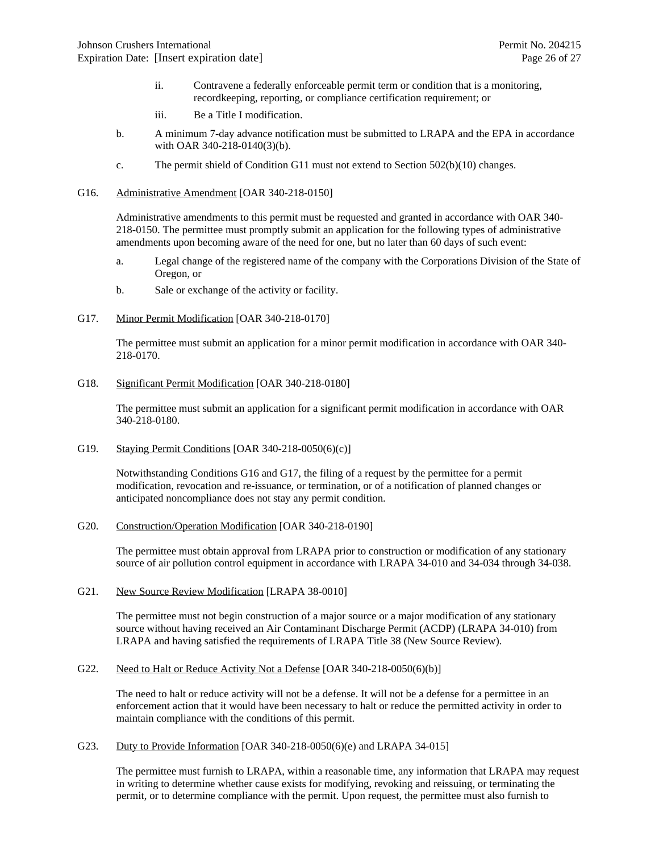- ii. Contravene a federally enforceable permit term or condition that is a monitoring, recordkeeping, reporting, or compliance certification requirement; or
- iii. Be a Title I modification.
- b. A minimum 7-day advance notification must be submitted to LRAPA and the EPA in accordance with OAR 340-218-0140(3)(b).
- c. The permit shield of Condition G11 must not extend to Section 502(b)(10) changes.
- G16. Administrative Amendment [OAR 340-218-0150]

Administrative amendments to this permit must be requested and granted in accordance with OAR 340- 218-0150. The permittee must promptly submit an application for the following types of administrative amendments upon becoming aware of the need for one, but no later than 60 days of such event:

- a. Legal change of the registered name of the company with the Corporations Division of the State of Oregon, or
- b. Sale or exchange of the activity or facility.
- G17. Minor Permit Modification [OAR 340-218-0170]

The permittee must submit an application for a minor permit modification in accordance with OAR 340- 218-0170.

G18. Significant Permit Modification [OAR 340-218-0180]

The permittee must submit an application for a significant permit modification in accordance with OAR 340-218-0180.

G19. Staying Permit Conditions [OAR 340-218-0050(6)(c)]

Notwithstanding Conditions G16 and G17, the filing of a request by the permittee for a permit modification, revocation and re-issuance, or termination, or of a notification of planned changes or anticipated noncompliance does not stay any permit condition.

G20. Construction/Operation Modification [OAR 340-218-0190]

The permittee must obtain approval from LRAPA prior to construction or modification of any stationary source of air pollution control equipment in accordance with LRAPA 34-010 and 34-034 through 34-038.

G21. New Source Review Modification [LRAPA 38-0010]

The permittee must not begin construction of a major source or a major modification of any stationary source without having received an Air Contaminant Discharge Permit (ACDP) (LRAPA 34-010) from LRAPA and having satisfied the requirements of LRAPA Title 38 (New Source Review).

G22. Need to Halt or Reduce Activity Not a Defense [OAR 340-218-0050(6)(b)]

The need to halt or reduce activity will not be a defense. It will not be a defense for a permittee in an enforcement action that it would have been necessary to halt or reduce the permitted activity in order to maintain compliance with the conditions of this permit.

G23. Duty to Provide Information [OAR 340-218-0050(6)(e) and LRAPA 34-015]

The permittee must furnish to LRAPA, within a reasonable time, any information that LRAPA may request in writing to determine whether cause exists for modifying, revoking and reissuing, or terminating the permit, or to determine compliance with the permit. Upon request, the permittee must also furnish to